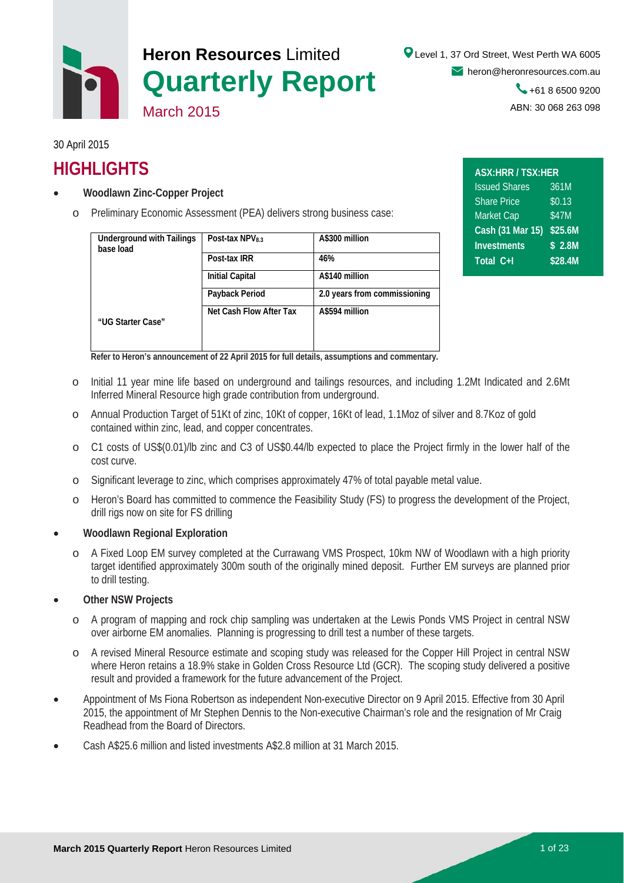

# **Heron Resources** Limited **Quarterly Report**

 Level 1, 37 Ord Street, West Perth WA 6005 **M** heron@heronresources.com.au

> **ASX:HRR / TSX:HER**  Issued Shares 361M Share Price \$0.13 Market Cap \$47M **Cash (31 Mar 15) \$25.6M Investments \$ 2.8M Total C+I \$28.4M**

 $\leftarrow$  +61 8 6500 9200 ABN: 30 068 263 098

30 April 2015

# **HIGHLIGHTS**

**Woodlawn Zinc-Copper Project** 

March 2015

o Preliminary Economic Assessment (PEA) delivers strong business case:

| <b>Underground with Tailings</b><br>base load | Post-tax NPV <sub>8.3</sub> | A\$300 million               |  |
|-----------------------------------------------|-----------------------------|------------------------------|--|
|                                               | Post-tax IRR                | 46%                          |  |
|                                               | <b>Initial Capital</b>      | A\$140 million               |  |
|                                               | Payback Period              | 2.0 years from commissioning |  |
| "UG Starter Case"                             | Net Cash Flow After Tax     | A\$594 million               |  |

**Refer to Heron's announcement of 22 April 2015 for full details, assumptions and commentary.** 

- o Initial 11 year mine life based on underground and tailings resources, and including 1.2Mt Indicated and 2.6Mt Inferred Mineral Resource high grade contribution from underground.
- o Annual Production Target of 51Kt of zinc, 10Kt of copper, 16Kt of lead, 1.1Moz of silver and 8.7Koz of gold contained within zinc, lead, and copper concentrates.
- o C1 costs of US\$(0.01)/lb zinc and C3 of US\$0.44/lb expected to place the Project firmly in the lower half of the cost curve.
- o Significant leverage to zinc, which comprises approximately 47% of total payable metal value.
- o Heron's Board has committed to commence the Feasibility Study (FS) to progress the development of the Project, drill rigs now on site for FS drilling

### **Woodlawn Regional Exploration**

o A Fixed Loop EM survey completed at the Currawang VMS Prospect, 10km NW of Woodlawn with a high priority target identified approximately 300m south of the originally mined deposit. Further EM surveys are planned prior to drill testing.

### **Other NSW Projects**

- o A program of mapping and rock chip sampling was undertaken at the Lewis Ponds VMS Project in central NSW over airborne EM anomalies. Planning is progressing to drill test a number of these targets.
- o A revised Mineral Resource estimate and scoping study was released for the Copper Hill Project in central NSW where Heron retains a 18.9% stake in Golden Cross Resource Ltd (GCR). The scoping study delivered a positive result and provided a framework for the future advancement of the Project.
- Appointment of Ms Fiona Robertson as independent Non-executive Director on 9 April 2015. Effective from 30 April 2015, the appointment of Mr Stephen Dennis to the Non-executive Chairman's role and the resignation of Mr Craig Readhead from the Board of Directors.
- Cash A\$25.6 million and listed investments A\$2.8 million at 31 March 2015.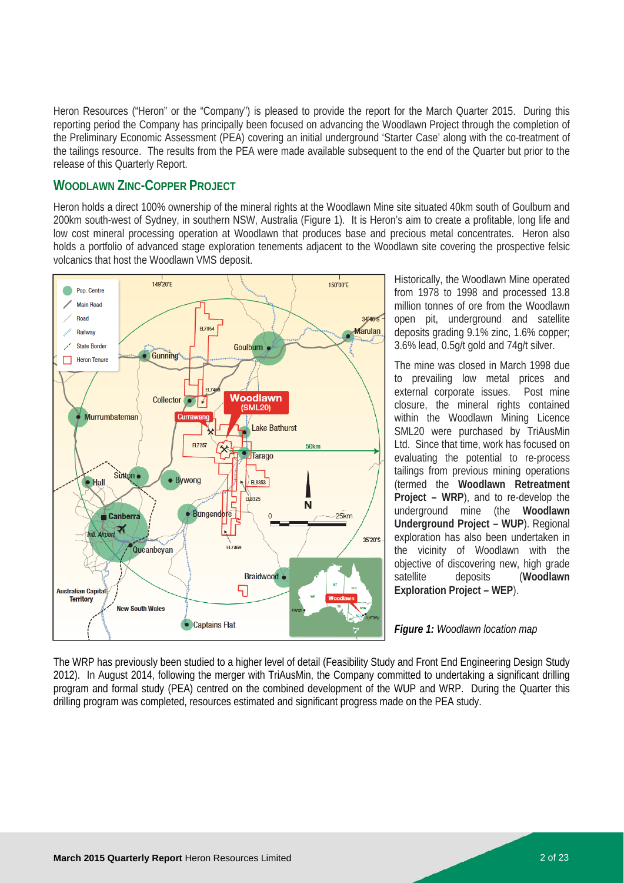Heron Resources ("Heron" or the "Company") is pleased to provide the report for the March Quarter 2015. During this reporting period the Company has principally been focused on advancing the Woodlawn Project through the completion of the Preliminary Economic Assessment (PEA) covering an initial underground 'Starter Case' along with the co-treatment of the tailings resource. The results from the PEA were made available subsequent to the end of the Quarter but prior to the release of this Quarterly Report.

### **WOODLAWN ZINC-COPPER PROJECT**

Heron holds a direct 100% ownership of the mineral rights at the Woodlawn Mine site situated 40km south of Goulburn and 200km south-west of Sydney, in southern NSW, Australia (Figure 1). It is Heron's aim to create a profitable, long life and low cost mineral processing operation at Woodlawn that produces base and precious metal concentrates. Heron also holds a portfolio of advanced stage exploration tenements adjacent to the Woodlawn site covering the prospective felsic volcanics that host the Woodlawn VMS deposit.



Historically, the Woodlawn Mine operated from 1978 to 1998 and processed 13.8 million tonnes of ore from the Woodlawn open pit, underground and satellite deposits grading 9.1% zinc, 1.6% copper; 3.6% lead, 0.5g/t gold and 74g/t silver.

The mine was closed in March 1998 due to prevailing low metal prices and external corporate issues. Post mine closure, the mineral rights contained within the Woodlawn Mining Licence SML20 were purchased by TriAusMin Ltd. Since that time, work has focused on evaluating the potential to re-process tailings from previous mining operations (termed the **Woodlawn Retreatment Project – WRP**), and to re-develop the underground mine (the **Woodlawn Underground Project – WUP**). Regional exploration has also been undertaken in the vicinity of Woodlawn with the objective of discovering new, high grade satellite deposits (**Woodlawn Exploration Project – WEP**).

### *Figure 1: Woodlawn location map*

The WRP has previously been studied to a higher level of detail (Feasibility Study and Front End Engineering Design Study 2012). In August 2014, following the merger with TriAusMin, the Company committed to undertaking a significant drilling program and formal study (PEA) centred on the combined development of the WUP and WRP. During the Quarter this drilling program was completed, resources estimated and significant progress made on the PEA study.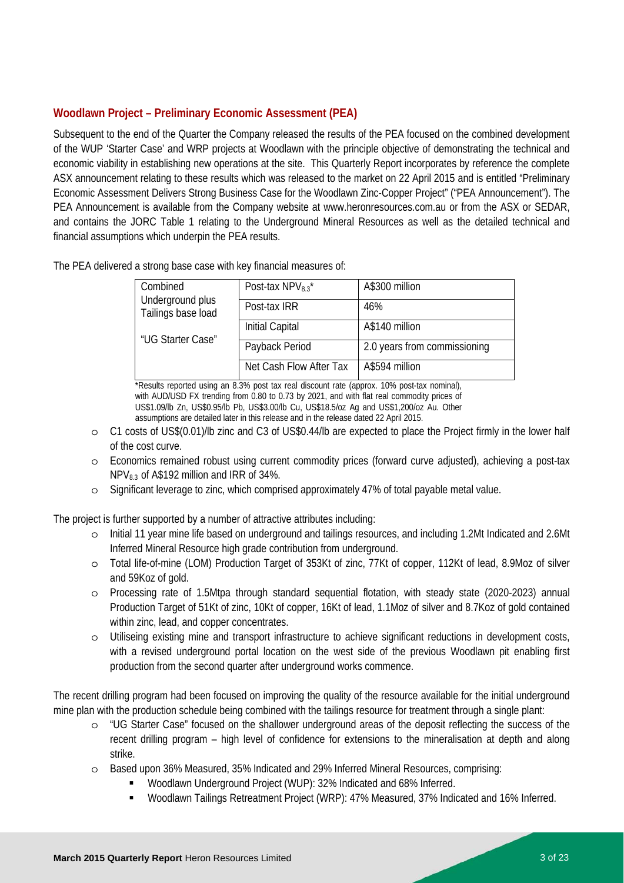### **Woodlawn Project – Preliminary Economic Assessment (PEA)**

Subsequent to the end of the Quarter the Company released the results of the PEA focused on the combined development of the WUP 'Starter Case' and WRP projects at Woodlawn with the principle objective of demonstrating the technical and economic viability in establishing new operations at the site. This Quarterly Report incorporates by reference the complete ASX announcement relating to these results which was released to the market on 22 April 2015 and is entitled "Preliminary Economic Assessment Delivers Strong Business Case for the Woodlawn Zinc-Copper Project" ("PEA Announcement"). The PEA Announcement is available from the Company website at www.heronresources.com.au or from the ASX or SEDAR, and contains the JORC Table 1 relating to the Underground Mineral Resources as well as the detailed technical and financial assumptions which underpin the PEA results.

The PEA delivered a strong base case with key financial measures of:

| Combined                               | Post-tax $NPV_{8.3}^*$  | A\$300 million               |
|----------------------------------------|-------------------------|------------------------------|
| Underground plus<br>Tailings base load | Post-tax IRR            | 46%                          |
|                                        | <b>Initial Capital</b>  | A\$140 million               |
| "UG Starter Case"                      | Payback Period          | 2.0 years from commissioning |
|                                        | Net Cash Flow After Tax | A\$594 million               |

\*Results reported using an 8.3% post tax real discount rate (approx. 10% post-tax nominal), with AUD/USD FX trending from 0.80 to 0.73 by 2021, and with flat real commodity prices of US\$1.09/lb Zn, US\$0.95/lb Pb, US\$3.00/lb Cu, US\$18.5/oz Ag and US\$1,200/oz Au. Other assumptions are detailed later in this release and in the release dated 22 April 2015.

- o C1 costs of US\$(0.01)/lb zinc and C3 of US\$0.44/lb are expected to place the Project firmly in the lower half of the cost curve.
- o Economics remained robust using current commodity prices (forward curve adjusted), achieving a post-tax NPV8.3 of A\$192 million and IRR of 34%.
- o Significant leverage to zinc, which comprised approximately 47% of total payable metal value.

The project is further supported by a number of attractive attributes including:

- o Initial 11 year mine life based on underground and tailings resources, and including 1.2Mt Indicated and 2.6Mt Inferred Mineral Resource high grade contribution from underground.
- o Total life-of-mine (LOM) Production Target of 353Kt of zinc, 77Kt of copper, 112Kt of lead, 8.9Moz of silver and 59Koz of gold.
- o Processing rate of 1.5Mtpa through standard sequential flotation, with steady state (2020-2023) annual Production Target of 51Kt of zinc, 10Kt of copper, 16Kt of lead, 1.1Moz of silver and 8.7Koz of gold contained within zinc, lead, and copper concentrates.
- o Utiliseing existing mine and transport infrastructure to achieve significant reductions in development costs, with a revised underground portal location on the west side of the previous Woodlawn pit enabling first production from the second quarter after underground works commence.

The recent drilling program had been focused on improving the quality of the resource available for the initial underground mine plan with the production schedule being combined with the tailings resource for treatment through a single plant:

- o "UG Starter Case" focused on the shallower underground areas of the deposit reflecting the success of the recent drilling program – high level of confidence for extensions to the mineralisation at depth and along strike.
- o Based upon 36% Measured, 35% Indicated and 29% Inferred Mineral Resources, comprising:
	- Woodlawn Underground Project (WUP): 32% Indicated and 68% Inferred.
	- Woodlawn Tailings Retreatment Project (WRP): 47% Measured, 37% Indicated and 16% Inferred.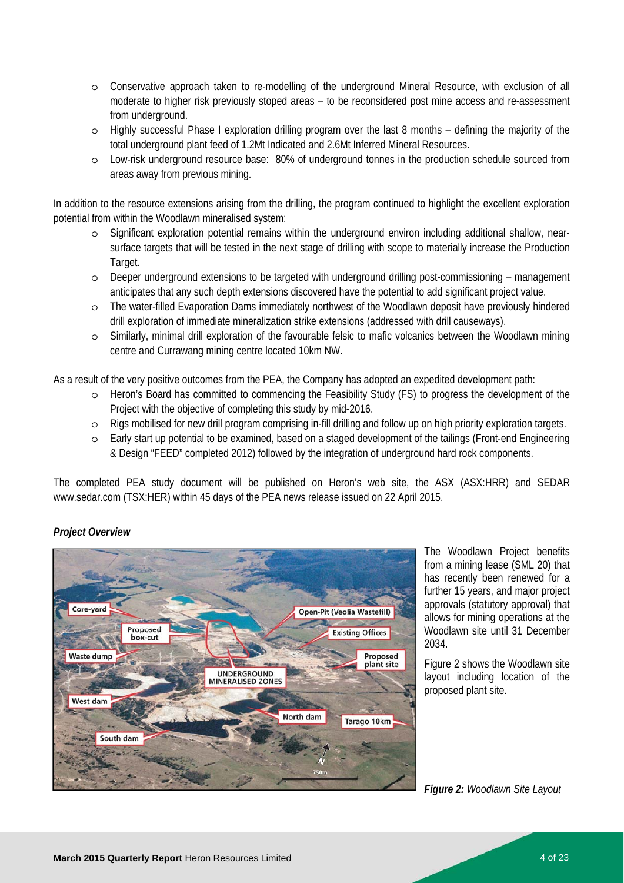- o Conservative approach taken to re-modelling of the underground Mineral Resource, with exclusion of all moderate to higher risk previously stoped areas – to be reconsidered post mine access and re-assessment from underground.
- o Highly successful Phase I exploration drilling program over the last 8 months defining the majority of the total underground plant feed of 1.2Mt Indicated and 2.6Mt Inferred Mineral Resources.
- o Low-risk underground resource base: 80% of underground tonnes in the production schedule sourced from areas away from previous mining.

In addition to the resource extensions arising from the drilling, the program continued to highlight the excellent exploration potential from within the Woodlawn mineralised system:

- o Significant exploration potential remains within the underground environ including additional shallow, nearsurface targets that will be tested in the next stage of drilling with scope to materially increase the Production Target.
- o Deeper underground extensions to be targeted with underground drilling post-commissioning management anticipates that any such depth extensions discovered have the potential to add significant project value.
- o The water-filled Evaporation Dams immediately northwest of the Woodlawn deposit have previously hindered drill exploration of immediate mineralization strike extensions (addressed with drill causeways).
- o Similarly, minimal drill exploration of the favourable felsic to mafic volcanics between the Woodlawn mining centre and Currawang mining centre located 10km NW.

As a result of the very positive outcomes from the PEA, the Company has adopted an expedited development path:

- o Heron's Board has committed to commencing the Feasibility Study (FS) to progress the development of the Project with the objective of completing this study by mid-2016.
- o Rigs mobilised for new drill program comprising in-fill drilling and follow up on high priority exploration targets.
- o Early start up potential to be examined, based on a staged development of the tailings (Front-end Engineering & Design "FEED" completed 2012) followed by the integration of underground hard rock components.

The completed PEA study document will be published on Heron's web site, the ASX (ASX:HRR) and SEDAR www.sedar.com (TSX:HER) within 45 days of the PEA news release issued on 22 April 2015.



*Project Overview* 

The Woodlawn Project benefits from a mining lease (SML 20) that has recently been renewed for a further 15 years, and major project approvals (statutory approval) that allows for mining operations at the Woodlawn site until 31 December 2034.

Figure 2 shows the Woodlawn site layout including location of the proposed plant site.

*Figure 2: Woodlawn Site Layout*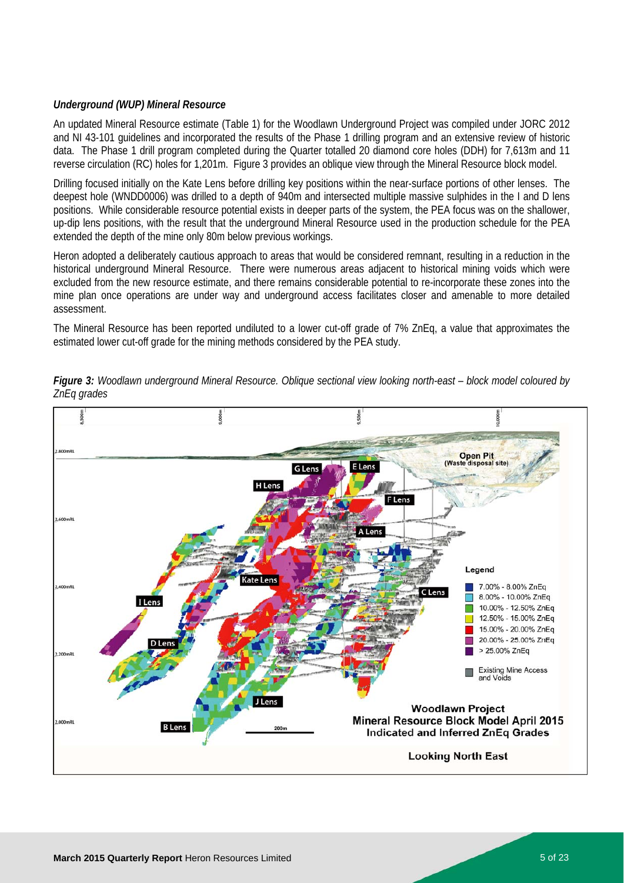### *Underground (WUP) Mineral Resource*

An updated Mineral Resource estimate (Table 1) for the Woodlawn Underground Project was compiled under JORC 2012 and NI 43-101 guidelines and incorporated the results of the Phase 1 drilling program and an extensive review of historic data. The Phase 1 drill program completed during the Quarter totalled 20 diamond core holes (DDH) for 7,613m and 11 reverse circulation (RC) holes for 1,201m. Figure 3 provides an oblique view through the Mineral Resource block model.

Drilling focused initially on the Kate Lens before drilling key positions within the near-surface portions of other lenses. The deepest hole (WNDD0006) was drilled to a depth of 940m and intersected multiple massive sulphides in the I and D lens positions. While considerable resource potential exists in deeper parts of the system, the PEA focus was on the shallower, up-dip lens positions, with the result that the underground Mineral Resource used in the production schedule for the PEA extended the depth of the mine only 80m below previous workings.

Heron adopted a deliberately cautious approach to areas that would be considered remnant, resulting in a reduction in the historical underground Mineral Resource. There were numerous areas adjacent to historical mining voids which were excluded from the new resource estimate, and there remains considerable potential to re-incorporate these zones into the mine plan once operations are under way and underground access facilitates closer and amenable to more detailed assessment.

The Mineral Resource has been reported undiluted to a lower cut-off grade of 7% ZnEq, a value that approximates the estimated lower cut-off grade for the mining methods considered by the PEA study.



*Figure 3: Woodlawn underground Mineral Resource. Oblique sectional view looking north-east – block model coloured by ZnEq grades*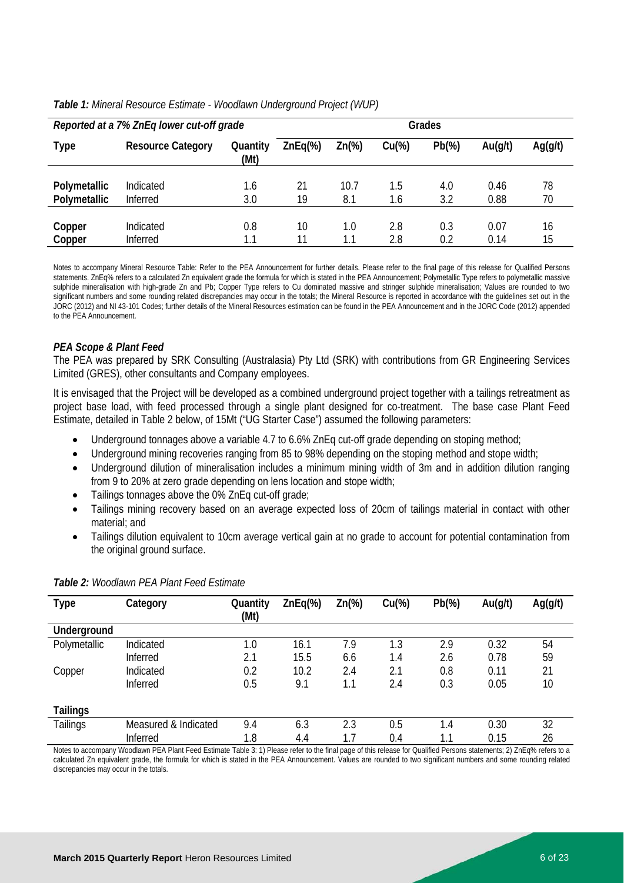| Reported at a 7% ZnEq lower cut-off grade |                          |                  | Grades          |          |           |          |         |         |
|-------------------------------------------|--------------------------|------------------|-----------------|----------|-----------|----------|---------|---------|
| Type                                      | <b>Resource Category</b> | Quantity<br>(Mt) | $ZnEq(\%)$      | $Zn(\%)$ | $Cu$ $\%$ | $Pb(\%)$ | Au(g/t) | Ag(g/t) |
| Polymetallic                              | Indicated                | 1.6              | 21              | 10.7     | 1.5       | 4.0      | 0.46    | 78      |
| Polymetallic                              | Inferred                 | 3.0              | 19              | 8.1      | 1.6       | 3.2      | 0.88    | 70      |
| Copper                                    | Indicated                | 0.8              | 10 <sup>°</sup> | 1.0      | 2.8       | 0.3      | 0.07    | 16      |
| Copper                                    | Inferred                 | 1.1              | 11              | 1.1      | 2.8       | 0.2      | 0.14    | 15      |

*Table 1: Mineral Resource Estimate - Woodlawn Underground Project (WUP)* 

Notes to accompany Mineral Resource Table: Refer to the PEA Announcement for further details. Please refer to the final page of this release for Qualified Persons statements. ZnEq% refers to a calculated Zn equivalent grade the formula for which is stated in the PEA Announcement; Polymetallic Type refers to polymetallic massive sulphide mineralisation with high-grade Zn and Pb; Copper Type refers to Cu dominated massive and stringer sulphide mineralisation; Values are rounded to two significant numbers and some rounding related discrepancies may occur in the totals; the Mineral Resource is reported in accordance with the guidelines set out in the JORC (2012) and NI 43-101 Codes; further details of the Mineral Resources estimation can be found in the PEA Announcement and in the JORC Code (2012) appended to the PEA Announcement.

### *PEA Scope & Plant Feed*

The PEA was prepared by SRK Consulting (Australasia) Pty Ltd (SRK) with contributions from GR Engineering Services Limited (GRES), other consultants and Company employees.

It is envisaged that the Project will be developed as a combined underground project together with a tailings retreatment as project base load, with feed processed through a single plant designed for co-treatment. The base case Plant Feed Estimate, detailed in Table 2 below, of 15Mt ("UG Starter Case") assumed the following parameters:

- Underground tonnages above a variable 4.7 to 6.6% ZnEq cut-off grade depending on stoping method;
- Underground mining recoveries ranging from 85 to 98% depending on the stoping method and stope width;
- Underground dilution of mineralisation includes a minimum mining width of 3m and in addition dilution ranging from 9 to 20% at zero grade depending on lens location and stope width;
- Tailings tonnages above the 0% ZnEq cut-off grade;
- Tailings mining recovery based on an average expected loss of 20cm of tailings material in contact with other material; and
- Tailings dilution equivalent to 10cm average vertical gain at no grade to account for potential contamination from the original ground surface.

| Type            | Category             | Quantity<br>(Mt) | $ZnEq(\%)$ | $Zn(\%)$ | $Cu$ (%) | $Pb(\%)$ | Au(g/t) | Ag(g/t) |
|-----------------|----------------------|------------------|------------|----------|----------|----------|---------|---------|
| Underground     |                      |                  |            |          |          |          |         |         |
| Polymetallic    | Indicated            | 1.0              | 16.1       | 7.9      | 1.3      | 2.9      | 0.32    | 54      |
|                 | Inferred             | 2.1              | 15.5       | 6.6      | 1.4      | 2.6      | 0.78    | 59      |
| Copper          | Indicated            | 0.2              | 10.2       | 2.4      | 2.1      | 0.8      | 0.11    | 21      |
|                 | Inferred             | 0.5              | 9.1        | 1.1      | 2.4      | 0.3      | 0.05    | 10      |
| <b>Tailings</b> |                      |                  |            |          |          |          |         |         |
| Tailings        | Measured & Indicated | 9.4              | 6.3        | 2.3      | 0.5      | 1.4      | 0.30    | 32      |
|                 | Inferred             | 1.8              | 4.4        | 1.7      | 0.4      | 1.1      | 0.15    | 26      |

### *Table 2: Woodlawn PEA Plant Feed Estimate*

Notes to accompany Woodlawn PEA Plant Feed Estimate Table 3: 1) Please refer to the final page of this release for Qualified Persons statements; 2) ZnEq% refers to a calculated Zn equivalent grade, the formula for which is stated in the PEA Announcement. Values are rounded to two significant numbers and some rounding related discrepancies may occur in the totals.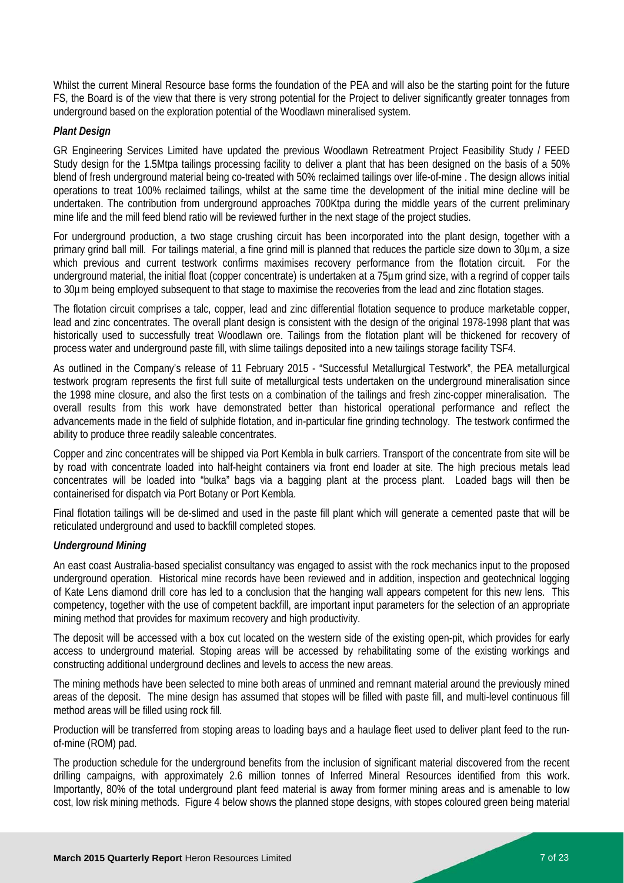Whilst the current Mineral Resource base forms the foundation of the PEA and will also be the starting point for the future FS, the Board is of the view that there is very strong potential for the Project to deliver significantly greater tonnages from underground based on the exploration potential of the Woodlawn mineralised system.

### *Plant Design*

GR Engineering Services Limited have updated the previous Woodlawn Retreatment Project Feasibility Study / FEED Study design for the 1.5Mtpa tailings processing facility to deliver a plant that has been designed on the basis of a 50% blend of fresh underground material being co-treated with 50% reclaimed tailings over life-of-mine . The design allows initial operations to treat 100% reclaimed tailings, whilst at the same time the development of the initial mine decline will be undertaken. The contribution from underground approaches 700Ktpa during the middle years of the current preliminary mine life and the mill feed blend ratio will be reviewed further in the next stage of the project studies.

For underground production, a two stage crushing circuit has been incorporated into the plant design, together with a primary grind ball mill. For tailings material, a fine grind mill is planned that reduces the particle size down to 30µm, a size which previous and current testwork confirms maximises recovery performance from the flotation circuit. For the underground material, the initial float (copper concentrate) is undertaken at a 75µm grind size, with a regrind of copper tails to 30µm being employed subsequent to that stage to maximise the recoveries from the lead and zinc flotation stages.

The flotation circuit comprises a talc, copper, lead and zinc differential flotation sequence to produce marketable copper, lead and zinc concentrates. The overall plant design is consistent with the design of the original 1978-1998 plant that was historically used to successfully treat Woodlawn ore. Tailings from the flotation plant will be thickened for recovery of process water and underground paste fill, with slime tailings deposited into a new tailings storage facility TSF4.

As outlined in the Company's release of 11 February 2015 - "Successful Metallurgical Testwork", the PEA metallurgical testwork program represents the first full suite of metallurgical tests undertaken on the underground mineralisation since the 1998 mine closure, and also the first tests on a combination of the tailings and fresh zinc-copper mineralisation. The overall results from this work have demonstrated better than historical operational performance and reflect the advancements made in the field of sulphide flotation, and in-particular fine grinding technology. The testwork confirmed the ability to produce three readily saleable concentrates.

Copper and zinc concentrates will be shipped via Port Kembla in bulk carriers. Transport of the concentrate from site will be by road with concentrate loaded into half-height containers via front end loader at site. The high precious metals lead concentrates will be loaded into "bulka" bags via a bagging plant at the process plant. Loaded bags will then be containerised for dispatch via Port Botany or Port Kembla.

Final flotation tailings will be de-slimed and used in the paste fill plant which will generate a cemented paste that will be reticulated underground and used to backfill completed stopes.

### *Underground Mining*

An east coast Australia-based specialist consultancy was engaged to assist with the rock mechanics input to the proposed underground operation. Historical mine records have been reviewed and in addition, inspection and geotechnical logging of Kate Lens diamond drill core has led to a conclusion that the hanging wall appears competent for this new lens. This competency, together with the use of competent backfill, are important input parameters for the selection of an appropriate mining method that provides for maximum recovery and high productivity.

The deposit will be accessed with a box cut located on the western side of the existing open-pit, which provides for early access to underground material. Stoping areas will be accessed by rehabilitating some of the existing workings and constructing additional underground declines and levels to access the new areas.

The mining methods have been selected to mine both areas of unmined and remnant material around the previously mined areas of the deposit. The mine design has assumed that stopes will be filled with paste fill, and multi-level continuous fill method areas will be filled using rock fill.

Production will be transferred from stoping areas to loading bays and a haulage fleet used to deliver plant feed to the runof-mine (ROM) pad.

The production schedule for the underground benefits from the inclusion of significant material discovered from the recent drilling campaigns, with approximately 2.6 million tonnes of Inferred Mineral Resources identified from this work. Importantly, 80% of the total underground plant feed material is away from former mining areas and is amenable to low cost, low risk mining methods. Figure 4 below shows the planned stope designs, with stopes coloured green being material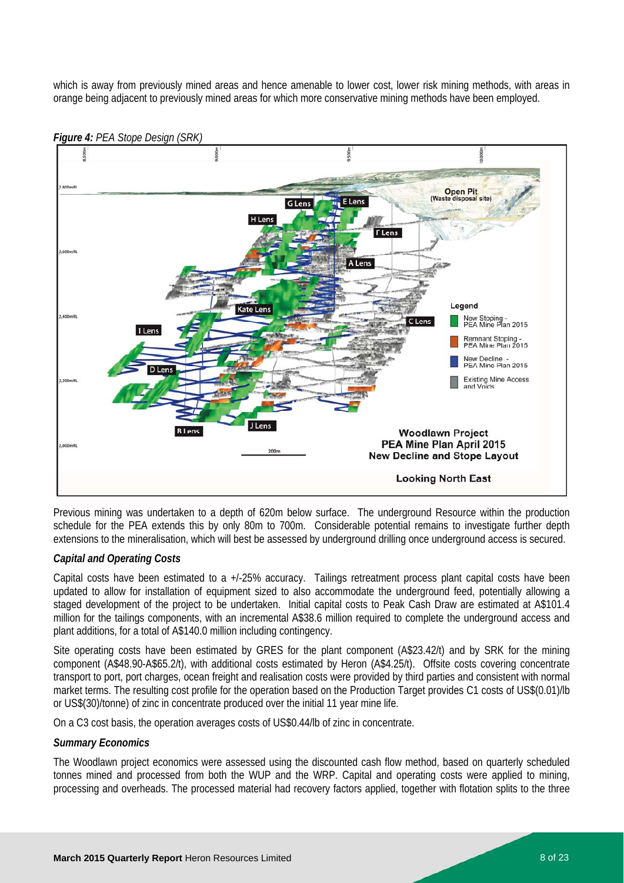which is away from previously mined areas and hence amenable to lower cost, lower risk mining methods, with areas in orange being adjacent to previously mined areas for which more conservative mining methods have been employed.



*Figure 4: PEA Stope Design (SRK)* 

Previous mining was undertaken to a depth of 620m below surface. The underground Resource within the production schedule for the PEA extends this by only 80m to 700m. Considerable potential remains to investigate further depth extensions to the mineralisation, which will best be assessed by underground drilling once underground access is secured.

### *Capital and Operating Costs*

Capital costs have been estimated to a +/-25% accuracy. Tailings retreatment process plant capital costs have been updated to allow for installation of equipment sized to also accommodate the underground feed, potentially allowing a staged development of the project to be undertaken. Initial capital costs to Peak Cash Draw are estimated at A\$101.4 million for the tailings components, with an incremental A\$38.6 million required to complete the underground access and plant additions, for a total of A\$140.0 million including contingency.

Site operating costs have been estimated by GRES for the plant component (A\$23.42/t) and by SRK for the mining component (A\$48.90-A\$65.2/t), with additional costs estimated by Heron (A\$4.25/t). Offsite costs covering concentrate transport to port, port charges, ocean freight and realisation costs were provided by third parties and consistent with normal market terms. The resulting cost profile for the operation based on the Production Target provides C1 costs of US\$(0.01)/lb or US\$(30)/tonne) of zinc in concentrate produced over the initial 11 year mine life.

On a C3 cost basis, the operation averages costs of US\$0.44/lb of zinc in concentrate.

### *Summary Economics*

The Woodlawn project economics were assessed using the discounted cash flow method, based on quarterly scheduled tonnes mined and processed from both the WUP and the WRP. Capital and operating costs were applied to mining, processing and overheads. The processed material had recovery factors applied, together with flotation splits to the three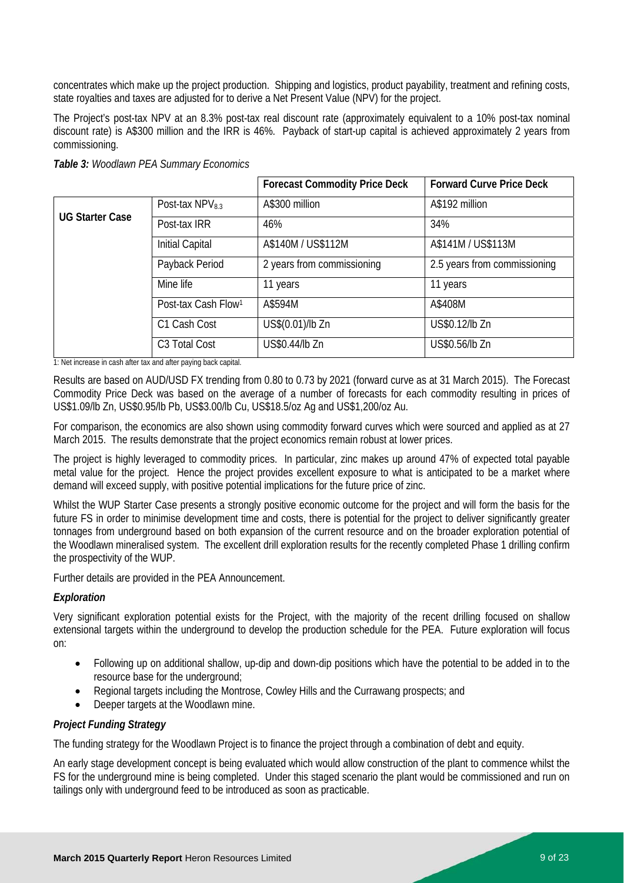concentrates which make up the project production. Shipping and logistics, product payability, treatment and refining costs, state royalties and taxes are adjusted for to derive a Net Present Value (NPV) for the project.

The Project's post-tax NPV at an 8.3% post-tax real discount rate (approximately equivalent to a 10% post-tax nominal discount rate) is A\$300 million and the IRR is 46%. Payback of start-up capital is achieved approximately 2 years from commissioning.

*Table 3: Woodlawn PEA Summary Economics*

|                        |                                 | <b>Forecast Commodity Price Deck</b> | <b>Forward Curve Price Deck</b> |
|------------------------|---------------------------------|--------------------------------------|---------------------------------|
|                        | Post-tax $NPV_{8.3}$            | A\$300 million                       | A\$192 million                  |
| <b>UG Starter Case</b> | Post-tax IRR                    | 46%                                  | 34%                             |
|                        | Initial Capital                 | A\$140M / US\$112M                   | A\$141M / US\$113M              |
|                        | Payback Period                  | 2 years from commissioning           | 2.5 years from commissioning    |
|                        | Mine life                       | 11 years                             | 11 years                        |
|                        | Post-tax Cash Flow <sup>1</sup> | A\$594M                              | A\$408M                         |
|                        | C <sub>1</sub> Cash Cost        | US\$(0.01)/lb Zn                     | US\$0.12/lb Zn                  |
|                        | C <sub>3</sub> Total Cost       | US\$0.44/lb Zn                       | US\$0.56/lb Zn                  |

1: Net increase in cash after tax and after paying back capital.

Results are based on AUD/USD FX trending from 0.80 to 0.73 by 2021 (forward curve as at 31 March 2015). The Forecast Commodity Price Deck was based on the average of a number of forecasts for each commodity resulting in prices of US\$1.09/lb Zn, US\$0.95/lb Pb, US\$3.00/lb Cu, US\$18.5/oz Ag and US\$1,200/oz Au.

For comparison, the economics are also shown using commodity forward curves which were sourced and applied as at 27 March 2015. The results demonstrate that the project economics remain robust at lower prices.

The project is highly leveraged to commodity prices. In particular, zinc makes up around 47% of expected total payable metal value for the project. Hence the project provides excellent exposure to what is anticipated to be a market where demand will exceed supply, with positive potential implications for the future price of zinc.

Whilst the WUP Starter Case presents a strongly positive economic outcome for the project and will form the basis for the future FS in order to minimise development time and costs, there is potential for the project to deliver significantly greater tonnages from underground based on both expansion of the current resource and on the broader exploration potential of the Woodlawn mineralised system. The excellent drill exploration results for the recently completed Phase 1 drilling confirm the prospectivity of the WUP.

Further details are provided in the PEA Announcement.

### *Exploration*

Very significant exploration potential exists for the Project, with the majority of the recent drilling focused on shallow extensional targets within the underground to develop the production schedule for the PEA. Future exploration will focus on:

- Following up on additional shallow, up-dip and down-dip positions which have the potential to be added in to the resource base for the underground;
- Regional targets including the Montrose, Cowley Hills and the Currawang prospects; and
- Deeper targets at the Woodlawn mine.

### *Project Funding Strategy*

The funding strategy for the Woodlawn Project is to finance the project through a combination of debt and equity.

An early stage development concept is being evaluated which would allow construction of the plant to commence whilst the FS for the underground mine is being completed. Under this staged scenario the plant would be commissioned and run on tailings only with underground feed to be introduced as soon as practicable.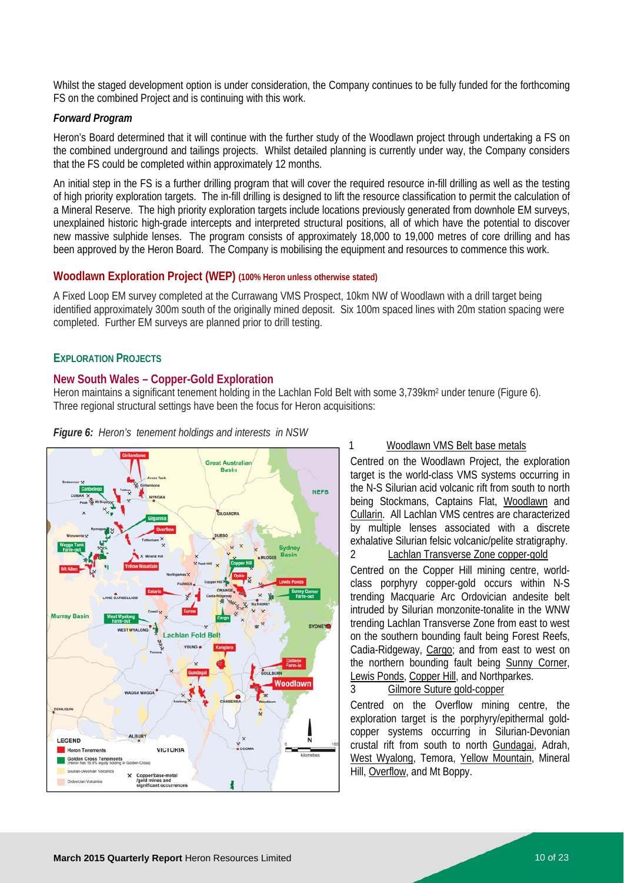Whilst the staged development option is under consideration, the Company continues to be fully funded for the forthcoming FS on the combined Project and is continuing with this work.

### *Forward Program*

Heron's Board determined that it will continue with the further study of the Woodlawn project through undertaking a FS on the combined underground and tailings projects. Whilst detailed planning is currently under way, the Company considers that the FS could be completed within approximately 12 months.

An initial step in the FS is a further drilling program that will cover the required resource in-fill drilling as well as the testing of high priority exploration targets. The in-fill drilling is designed to lift the resource classification to permit the calculation of a Mineral Reserve. The high priority exploration targets include locations previously generated from downhole EM surveys, unexplained historic high-grade intercepts and interpreted structural positions, all of which have the potential to discover new massive sulphide lenses. The program consists of approximately 18,000 to 19,000 metres of core drilling and has been approved by the Heron Board. The Company is mobilising the equipment and resources to commence this work.

### **Woodlawn Exploration Project (WEP) (100% Heron unless otherwise stated)**

A Fixed Loop EM survey completed at the Currawang VMS Prospect, 10km NW of Woodlawn with a drill target being identified approximately 300m south of the originally mined deposit. Six 100m spaced lines with 20m station spacing were completed. Further EM surveys are planned prior to drill testing.

### **EXPLORATION PROJECTS**

### **New South Wales – Copper-Gold Exploration**

Heron maintains a significant tenement holding in the Lachlan Fold Belt with some 3,739km<sup>2</sup> under tenure (Figure 6). Three regional structural settings have been the focus for Heron acquisitions:



*Figure 6: Heron's tenement holdings and interests in NSW* 

### 1 Woodlawn VMS Belt base metals

Centred on the Woodlawn Project, the exploration target is the world-class VMS systems occurring in the N-S Silurian acid volcanic rift from south to north being Stockmans, Captains Flat, Woodlawn and Cullarin. All Lachlan VMS centres are characterized by multiple lenses associated with a discrete exhalative Silurian felsic volcanic/pelite stratigraphy.

2 Lachlan Transverse Zone copper-gold Centred on the Copper Hill mining centre, worldclass porphyry copper-gold occurs within N-S trending Macquarie Arc Ordovician andesite belt intruded by Silurian monzonite-tonalite in the WNW trending Lachlan Transverse Zone from east to west on the southern bounding fault being Forest Reefs, Cadia-Ridgeway, Cargo; and from east to west on the northern bounding fault being Sunny Corner, Lewis Ponds, Copper Hill, and Northparkes.

### 3 **Gilmore Suture gold-copper**

Centred on the Overflow mining centre, the exploration target is the porphyry/epithermal goldcopper systems occurring in Silurian-Devonian crustal rift from south to north Gundagai, Adrah, West Wyalong, Temora, Yellow Mountain, Mineral Hill, Overflow, and Mt Boppy.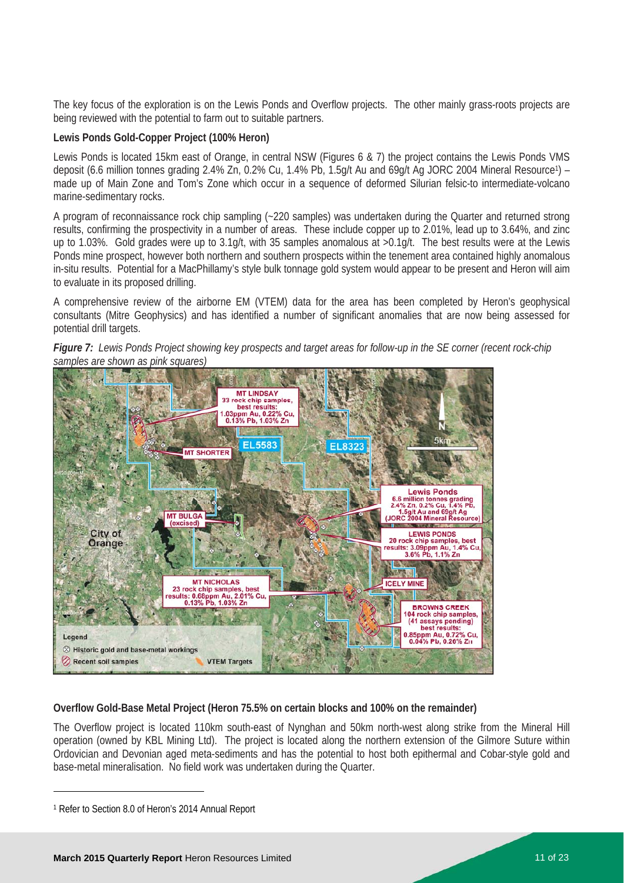The key focus of the exploration is on the Lewis Ponds and Overflow projects. The other mainly grass-roots projects are being reviewed with the potential to farm out to suitable partners.

### **Lewis Ponds Gold-Copper Project (100% Heron)**

Lewis Ponds is located 15km east of Orange, in central NSW (Figures 6 & 7) the project contains the Lewis Ponds VMS deposit (6.6 million tonnes grading 2.4% Zn, 0.2% Cu, 1.4% Pb, 1.5g/t Au and 69g/t Ag JORC 2004 Mineral Resource1) – made up of Main Zone and Tom's Zone which occur in a sequence of deformed Silurian felsic-to intermediate-volcano marine-sedimentary rocks.

A program of reconnaissance rock chip sampling (~220 samples) was undertaken during the Quarter and returned strong results, confirming the prospectivity in a number of areas. These include copper up to 2.01%, lead up to 3.64%, and zinc up to 1.03%. Gold grades were up to 3.1g/t, with 35 samples anomalous at >0.1g/t. The best results were at the Lewis Ponds mine prospect, however both northern and southern prospects within the tenement area contained highly anomalous in-situ results. Potential for a MacPhillamy's style bulk tonnage gold system would appear to be present and Heron will aim to evaluate in its proposed drilling.

A comprehensive review of the airborne EM (VTEM) data for the area has been completed by Heron's geophysical consultants (Mitre Geophysics) and has identified a number of significant anomalies that are now being assessed for potential drill targets.





### **Overflow Gold-Base Metal Project (Heron 75.5% on certain blocks and 100% on the remainder)**

The Overflow project is located 110km south-east of Nynghan and 50km north-west along strike from the Mineral Hill operation (owned by KBL Mining Ltd). The project is located along the northern extension of the Gilmore Suture within Ordovician and Devonian aged meta-sediments and has the potential to host both epithermal and Cobar-style gold and base-metal mineralisation. No field work was undertaken during the Quarter.

 $\overline{a}$ 

<sup>1</sup> Refer to Section 8.0 of Heron's 2014 Annual Report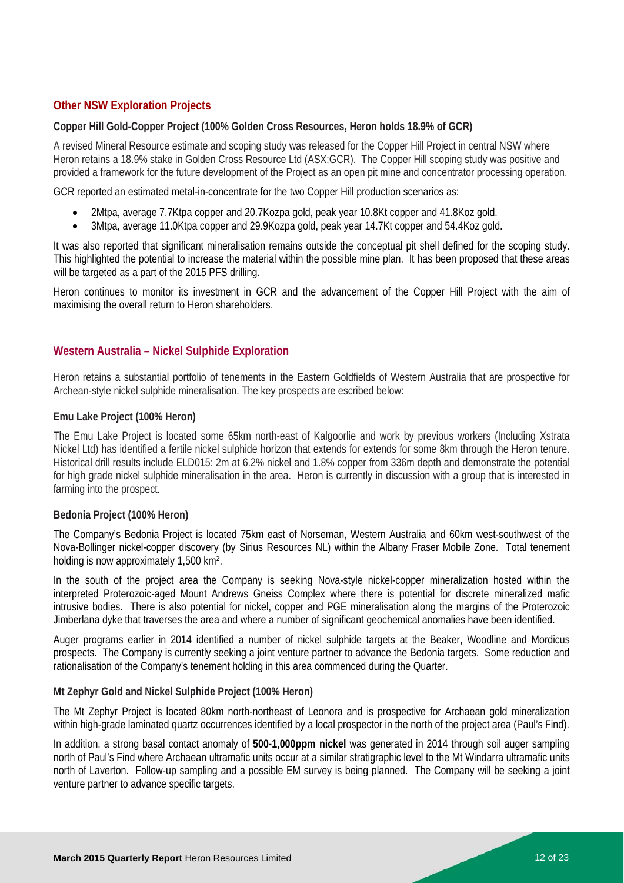### **Other NSW Exploration Projects**

### **Copper Hill Gold-Copper Project (100% Golden Cross Resources, Heron holds 18.9% of GCR)**

A revised Mineral Resource estimate and scoping study was released for the Copper Hill Project in central NSW where Heron retains a 18.9% stake in Golden Cross Resource Ltd (ASX:GCR). The Copper Hill scoping study was positive and provided a framework for the future development of the Project as an open pit mine and concentrator processing operation.

GCR reported an estimated metal-in-concentrate for the two Copper Hill production scenarios as:

- 2Mtpa, average 7.7Ktpa copper and 20.7Kozpa gold, peak year 10.8Kt copper and 41.8Koz gold.
- 3Mtpa, average 11.0Ktpa copper and 29.9Kozpa gold, peak year 14.7Kt copper and 54.4Koz gold.

It was also reported that significant mineralisation remains outside the conceptual pit shell defined for the scoping study. This highlighted the potential to increase the material within the possible mine plan. It has been proposed that these areas will be targeted as a part of the 2015 PFS drilling.

Heron continues to monitor its investment in GCR and the advancement of the Copper Hill Project with the aim of maximising the overall return to Heron shareholders.

### **Western Australia – Nickel Sulphide Exploration**

Heron retains a substantial portfolio of tenements in the Eastern Goldfields of Western Australia that are prospective for Archean-style nickel sulphide mineralisation. The key prospects are escribed below:

### **Emu Lake Project (100% Heron)**

The Emu Lake Project is located some 65km north-east of Kalgoorlie and work by previous workers (Including Xstrata Nickel Ltd) has identified a fertile nickel sulphide horizon that extends for extends for some 8km through the Heron tenure. Historical drill results include ELD015: 2m at 6.2% nickel and 1.8% copper from 336m depth and demonstrate the potential for high grade nickel sulphide mineralisation in the area. Heron is currently in discussion with a group that is interested in farming into the prospect.

#### **Bedonia Project (100% Heron)**

The Company's Bedonia Project is located 75km east of Norseman, Western Australia and 60km west-southwest of the Nova-Bollinger nickel-copper discovery (by Sirius Resources NL) within the Albany Fraser Mobile Zone. Total tenement holding is now approximately 1,500 km2.

In the south of the project area the Company is seeking Nova-style nickel-copper mineralization hosted within the interpreted Proterozoic-aged Mount Andrews Gneiss Complex where there is potential for discrete mineralized mafic intrusive bodies. There is also potential for nickel, copper and PGE mineralisation along the margins of the Proterozoic Jimberlana dyke that traverses the area and where a number of significant geochemical anomalies have been identified.

Auger programs earlier in 2014 identified a number of nickel sulphide targets at the Beaker, Woodline and Mordicus prospects. The Company is currently seeking a joint venture partner to advance the Bedonia targets. Some reduction and rationalisation of the Company's tenement holding in this area commenced during the Quarter.

### **Mt Zephyr Gold and Nickel Sulphide Project (100% Heron)**

The Mt Zephyr Project is located 80km north-northeast of Leonora and is prospective for Archaean gold mineralization within high-grade laminated quartz occurrences identified by a local prospector in the north of the project area (Paul's Find).

In addition, a strong basal contact anomaly of **500-1,000ppm nickel** was generated in 2014 through soil auger sampling north of Paul's Find where Archaean ultramafic units occur at a similar stratigraphic level to the Mt Windarra ultramafic units north of Laverton. Follow-up sampling and a possible EM survey is being planned. The Company will be seeking a joint venture partner to advance specific targets.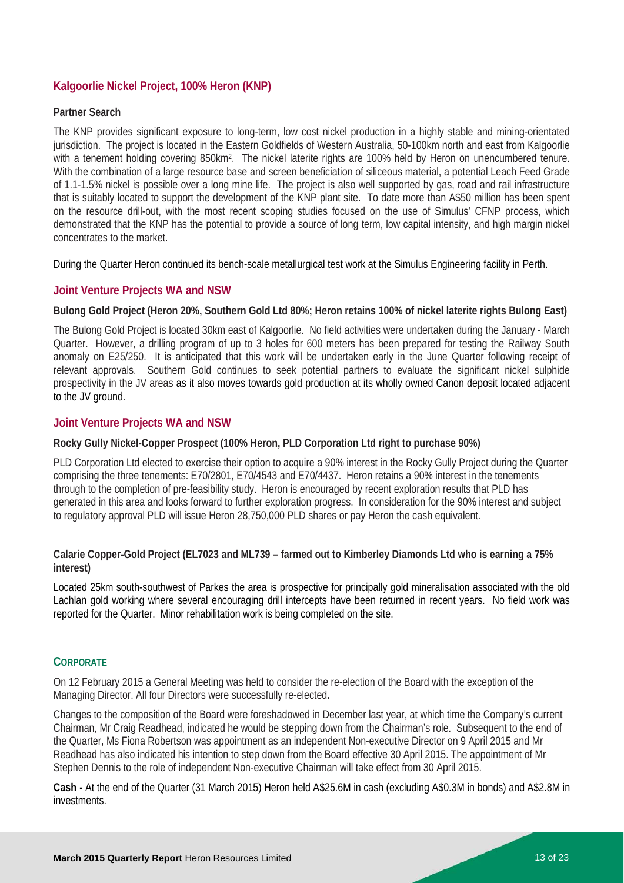### **Kalgoorlie Nickel Project, 100% Heron (KNP)**

#### **Partner Search**

The KNP provides significant exposure to long-term, low cost nickel production in a highly stable and mining-orientated jurisdiction. The project is located in the Eastern Goldfields of Western Australia, 50-100km north and east from Kalgoorlie with a tenement holding covering 850km<sup>2</sup>. The nickel laterite rights are 100% held by Heron on unencumbered tenure. With the combination of a large resource base and screen beneficiation of siliceous material, a potential Leach Feed Grade of 1.1-1.5% nickel is possible over a long mine life. The project is also well supported by gas, road and rail infrastructure that is suitably located to support the development of the KNP plant site. To date more than A\$50 million has been spent on the resource drill-out, with the most recent scoping studies focused on the use of Simulus' CFNP process, which demonstrated that the KNP has the potential to provide a source of long term, low capital intensity, and high margin nickel concentrates to the market.

During the Quarter Heron continued its bench-scale metallurgical test work at the Simulus Engineering facility in Perth.

### **Joint Venture Projects WA and NSW**

### **Bulong Gold Project (Heron 20%, Southern Gold Ltd 80%; Heron retains 100% of nickel laterite rights Bulong East)**

The Bulong Gold Project is located 30km east of Kalgoorlie. No field activities were undertaken during the January - March Quarter. However, a drilling program of up to 3 holes for 600 meters has been prepared for testing the Railway South anomaly on E25/250. It is anticipated that this work will be undertaken early in the June Quarter following receipt of relevant approvals. Southern Gold continues to seek potential partners to evaluate the significant nickel sulphide prospectivity in the JV areas as it also moves towards gold production at its wholly owned Canon deposit located adjacent to the JV ground.

### **Joint Venture Projects WA and NSW**

### **Rocky Gully Nickel-Copper Prospect (100% Heron, PLD Corporation Ltd right to purchase 90%)**

PLD Corporation Ltd elected to exercise their option to acquire a 90% interest in the Rocky Gully Project during the Quarter comprising the three tenements: E70/2801, E70/4543 and E70/4437. Heron retains a 90% interest in the tenements through to the completion of pre-feasibility study. Heron is encouraged by recent exploration results that PLD has generated in this area and looks forward to further exploration progress. In consideration for the 90% interest and subject to regulatory approval PLD will issue Heron 28,750,000 PLD shares or pay Heron the cash equivalent.

### **Calarie Copper-Gold Project (EL7023 and ML739 – farmed out to Kimberley Diamonds Ltd who is earning a 75% interest)**

Located 25km south-southwest of Parkes the area is prospective for principally gold mineralisation associated with the old Lachlan gold working where several encouraging drill intercepts have been returned in recent years. No field work was reported for the Quarter. Minor rehabilitation work is being completed on the site.

### **CORPORATE**

On 12 February 2015 a General Meeting was held to consider the re-election of the Board with the exception of the Managing Director. All four Directors were successfully re-elected**.** 

Changes to the composition of the Board were foreshadowed in December last year, at which time the Company's current Chairman, Mr Craig Readhead, indicated he would be stepping down from the Chairman's role. Subsequent to the end of the Quarter, Ms Fiona Robertson was appointment as an independent Non-executive Director on 9 April 2015 and Mr Readhead has also indicated his intention to step down from the Board effective 30 April 2015. The appointment of Mr Stephen Dennis to the role of independent Non-executive Chairman will take effect from 30 April 2015.

**Cash -** At the end of the Quarter (31 March 2015) Heron held A\$25.6M in cash (excluding A\$0.3M in bonds) and A\$2.8M in investments.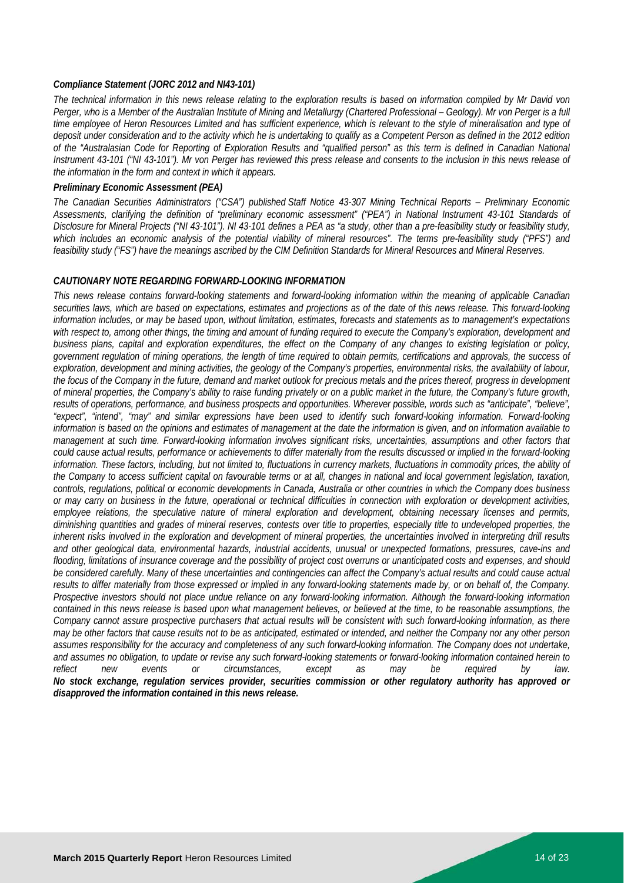#### *Compliance Statement (JORC 2012 and NI43-101)*

*The technical information in this news release relating to the exploration results is based on information compiled by Mr David von Perger, who is a Member of the Australian Institute of Mining and Metallurgy (Chartered Professional – Geology). Mr von Perger is a full time employee of Heron Resources Limited and has sufficient experience, which is relevant to the style of mineralisation and type of deposit under consideration and to the activity which he is undertaking to qualify as a Competent Person as defined in the 2012 edition of the "Australasian Code for Reporting of Exploration Results and "qualified person" as this term is defined in Canadian National Instrument 43-101 ("NI 43-101"). Mr von Perger has reviewed this press release and consents to the inclusion in this news release of the information in the form and context in which it appears.* 

#### *Preliminary Economic Assessment (PEA)*

*The Canadian Securities Administrators ("CSA") published Staff Notice 43-307 Mining Technical Reports – Preliminary Economic Assessments, clarifying the definition of "preliminary economic assessment" ("PEA") in National Instrument 43-101 Standards of Disclosure for Mineral Projects ("NI 43-101"). NI 43-101 defines a PEA as "a study, other than a pre-feasibility study or feasibility study, which includes an economic analysis of the potential viability of mineral resources". The terms pre-feasibility study ("PFS") and feasibility study ("FS") have the meanings ascribed by the CIM Definition Standards for Mineral Resources and Mineral Reserves.* 

#### *CAUTIONARY NOTE REGARDING FORWARD-LOOKING INFORMATION*

*This news release contains forward-looking statements and forward-looking information within the meaning of applicable Canadian securities laws, which are based on expectations, estimates and projections as of the date of this news release. This forward-looking information includes, or may be based upon, without limitation, estimates, forecasts and statements as to management's expectations with respect to, among other things, the timing and amount of funding required to execute the Company's exploration, development and business plans, capital and exploration expenditures, the effect on the Company of any changes to existing legislation or policy, government regulation of mining operations, the length of time required to obtain permits, certifications and approvals, the success of exploration, development and mining activities, the geology of the Company's properties, environmental risks, the availability of labour, the focus of the Company in the future, demand and market outlook for precious metals and the prices thereof, progress in development of mineral properties, the Company's ability to raise funding privately or on a public market in the future, the Company's future growth, results of operations, performance, and business prospects and opportunities. Wherever possible, words such as "anticipate", "believe", "expect", "intend", "may" and similar expressions have been used to identify such forward-looking information. Forward-looking information is based on the opinions and estimates of management at the date the information is given, and on information available to management at such time. Forward-looking information involves significant risks, uncertainties, assumptions and other factors that could cause actual results, performance or achievements to differ materially from the results discussed or implied in the forward-looking information. These factors, including, but not limited to, fluctuations in currency markets, fluctuations in commodity prices, the ability of*  the Company to access sufficient capital on favourable terms or at all, changes in national and local government legislation, taxation, *controls, regulations, political or economic developments in Canada, Australia or other countries in which the Company does business or may carry on business in the future, operational or technical difficulties in connection with exploration or development activities, employee relations, the speculative nature of mineral exploration and development, obtaining necessary licenses and permits, diminishing quantities and grades of mineral reserves, contests over title to properties, especially title to undeveloped properties, the inherent risks involved in the exploration and development of mineral properties, the uncertainties involved in interpreting drill results and other geological data, environmental hazards, industrial accidents, unusual or unexpected formations, pressures, cave-ins and flooding, limitations of insurance coverage and the possibility of project cost overruns or unanticipated costs and expenses, and should be considered carefully. Many of these uncertainties and contingencies can affect the Company's actual results and could cause actual*  results to differ materially from those expressed or implied in any forward-looking statements made by, or on behalf of, the Company. *Prospective investors should not place undue reliance on any forward-looking information. Although the forward-looking information contained in this news release is based upon what management believes, or believed at the time, to be reasonable assumptions, the Company cannot assure prospective purchasers that actual results will be consistent with such forward-looking information, as there may be other factors that cause results not to be as anticipated, estimated or intended, and neither the Company nor any other person assumes responsibility for the accuracy and completeness of any such forward-looking information. The Company does not undertake, and assumes no obligation, to update or revise any such forward-looking statements or forward-looking information contained herein to reflect new events or circumstances, except as may be required by law. No stock exchange, regulation services provider, securities commission or other regulatory authority has approved or disapproved the information contained in this news release.*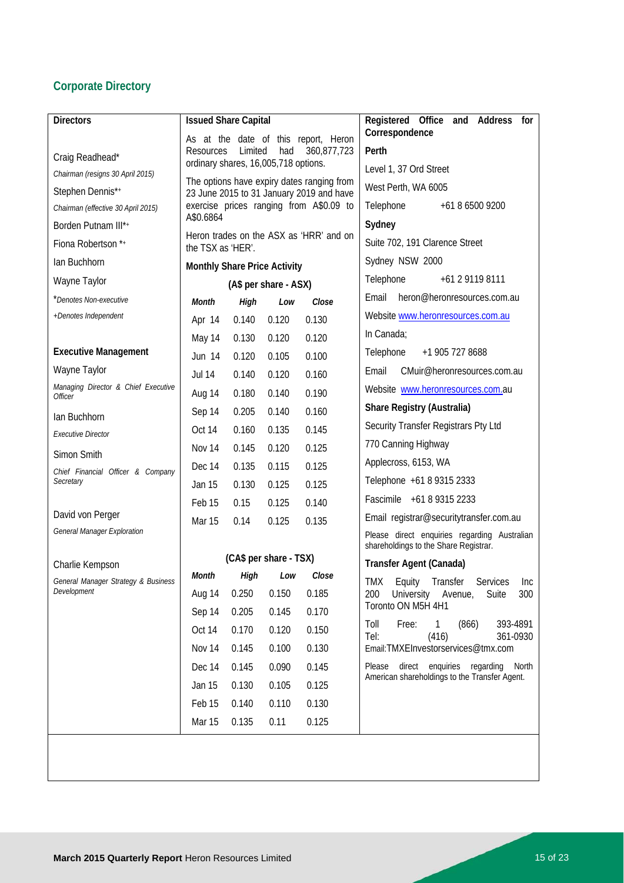# **Corporate Directory**

| <b>Directors</b>                                   | <b>Issued Share Capital</b>                                                |                                            |                        |                                          | Registered Office<br>Address<br>and<br>for                                       |  |
|----------------------------------------------------|----------------------------------------------------------------------------|--------------------------------------------|------------------------|------------------------------------------|----------------------------------------------------------------------------------|--|
|                                                    | As at the date of this report, Heron                                       |                                            |                        |                                          | Correspondence                                                                   |  |
| Craig Readhead*                                    | Limited<br>had<br><b>Resources</b><br>ordinary shares, 16,005,718 options. |                                            |                        | 360,877,723                              | Perth                                                                            |  |
| Chairman (resigns 30 April 2015)                   |                                                                            | The options have expiry dates ranging from |                        |                                          | Level 1, 37 Ord Street                                                           |  |
| Stephen Dennis*+                                   |                                                                            |                                            |                        | 23 June 2015 to 31 January 2019 and have | West Perth, WA 6005                                                              |  |
| Chairman (effective 30 April 2015)                 |                                                                            |                                            |                        | exercise prices ranging from A\$0.09 to  | Telephone<br>+61 8 6500 9200                                                     |  |
| Borden Putnam III*+                                | A\$0.6864                                                                  |                                            |                        |                                          | Sydney                                                                           |  |
| Fiona Robertson *+                                 | the TSX as 'HER'.                                                          |                                            |                        | Heron trades on the ASX as 'HRR' and on  | Suite 702, 191 Clarence Street                                                   |  |
| lan Buchhorn                                       | <b>Monthly Share Price Activity</b>                                        |                                            |                        |                                          | Sydney NSW 2000                                                                  |  |
| Wayne Taylor                                       |                                                                            |                                            | (A\$ per share - ASX)  |                                          | Telephone<br>+61 2 9119 8111                                                     |  |
| * Denotes Non-executive                            | Month                                                                      | High                                       | Low                    | Close                                    | Email<br>heron@heronresources.com.au                                             |  |
| +Denotes Independent                               | Apr 14                                                                     | 0.140                                      | 0.120                  | 0.130                                    | Website www.heronresources.com.au                                                |  |
|                                                    | May 14                                                                     | 0.130                                      | 0.120                  | 0.120                                    | In Canada;                                                                       |  |
| <b>Executive Management</b>                        | <b>Jun 14</b>                                                              | 0.120                                      | 0.105                  | 0.100                                    | Telephone<br>+1 905 727 8688                                                     |  |
| Wayne Taylor                                       | <b>Jul 14</b>                                                              | 0.140                                      | 0.120                  | 0.160                                    | Email<br>CMuir@heronresources.com.au                                             |  |
| Managing Director & Chief Executive<br>Officer     | Aug 14                                                                     | 0.180                                      | 0.140                  | 0.190                                    | Website www.heronresources.com.au                                                |  |
| lan Buchhorn                                       | Sep 14                                                                     | 0.205                                      | 0.140                  | 0.160                                    | <b>Share Registry (Australia)</b>                                                |  |
| <b>Executive Director</b>                          | Oct 14                                                                     | 0.160                                      | 0.135                  | 0.145                                    | Security Transfer Registrars Pty Ltd                                             |  |
| Simon Smith                                        | Nov 14                                                                     | 0.145                                      | 0.120                  | 0.125                                    | 770 Canning Highway                                                              |  |
| Chief Financial Officer & Company                  | Dec 14                                                                     | 0.135                                      | 0.115                  | 0.125                                    | Applecross, 6153, WA                                                             |  |
| Secretary                                          | Jan 15                                                                     | 0.130                                      | 0.125                  | 0.125                                    | Telephone +61 8 9315 2333                                                        |  |
|                                                    | Feb <sub>15</sub>                                                          | 0.15                                       | 0.125                  | 0.140                                    | Fascimile +61 8 9315 2233                                                        |  |
| David von Perger                                   | Mar 15                                                                     | 0.14                                       | 0.125                  | 0.135                                    | Email registrar@securitytransfer.com.au                                          |  |
| General Manager Exploration                        |                                                                            |                                            |                        |                                          | Please direct enquiries regarding Australian                                     |  |
|                                                    |                                                                            |                                            | (CA\$ per share - TSX) |                                          | shareholdings to the Share Registrar.                                            |  |
| Charlie Kempson                                    | <b>Month</b>                                                               | High                                       | Low                    | Close                                    | Transfer Agent (Canada)                                                          |  |
| General Manager Strategy & Business<br>Development | Aug 14                                                                     | 0.250                                      | 0.150                  | 0.185                                    | TMX Equity Transfer Services<br>Inc<br>300<br>200<br>University Avenue,<br>Suite |  |
|                                                    | Sep 14                                                                     | 0.205                                      | 0.145                  | 0.170                                    | Toronto ON M5H 4H1                                                               |  |
|                                                    | Oct 14                                                                     | 0.170                                      | 0.120                  | 0.150                                    | Toll<br>Free:<br>(866)<br>393-4891<br>$\mathbf{1}$                               |  |
|                                                    | Nov 14                                                                     | 0.145                                      | 0.100                  | 0.130                                    | Tel:<br>(416)<br>361-0930<br>Email:TMXEInvestorservices@tmx.com                  |  |
|                                                    | Dec 14                                                                     | 0.145                                      | 0.090                  | 0.145                                    | direct enquiries regarding<br>Please<br>North                                    |  |
|                                                    | Jan 15                                                                     | 0.130                                      | 0.105                  | 0.125                                    | American shareholdings to the Transfer Agent.                                    |  |
|                                                    | Feb 15                                                                     | 0.140                                      | 0.110                  | 0.130                                    |                                                                                  |  |
|                                                    | Mar 15                                                                     | 0.135                                      | 0.11                   | 0.125                                    |                                                                                  |  |
|                                                    |                                                                            |                                            |                        |                                          |                                                                                  |  |
|                                                    |                                                                            |                                            |                        |                                          |                                                                                  |  |
|                                                    |                                                                            |                                            |                        |                                          |                                                                                  |  |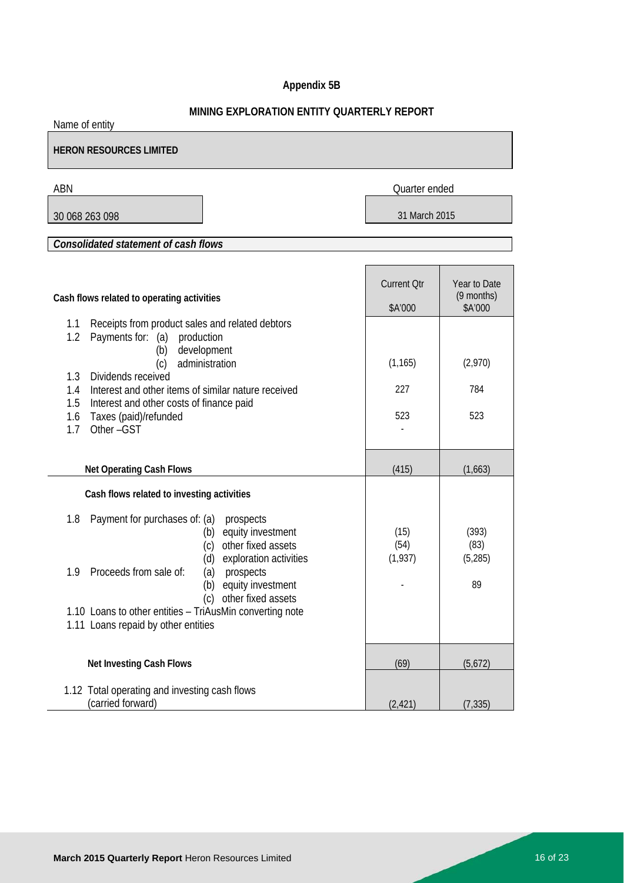### **Appendix 5B**

### **MINING EXPLORATION ENTITY QUARTERLY REPORT**

| Name of entity                                                                                                                                                                                                                                                                                                                                                                                          |                               |                                       |  |  |  |
|---------------------------------------------------------------------------------------------------------------------------------------------------------------------------------------------------------------------------------------------------------------------------------------------------------------------------------------------------------------------------------------------------------|-------------------------------|---------------------------------------|--|--|--|
| <b>HERON RESOURCES LIMITED</b>                                                                                                                                                                                                                                                                                                                                                                          |                               |                                       |  |  |  |
| ABN                                                                                                                                                                                                                                                                                                                                                                                                     | Quarter ended                 |                                       |  |  |  |
| 30 068 263 098                                                                                                                                                                                                                                                                                                                                                                                          | 31 March 2015                 |                                       |  |  |  |
| <b>Consolidated statement of cash flows</b>                                                                                                                                                                                                                                                                                                                                                             |                               |                                       |  |  |  |
|                                                                                                                                                                                                                                                                                                                                                                                                         |                               |                                       |  |  |  |
| Cash flows related to operating activities                                                                                                                                                                                                                                                                                                                                                              | <b>Current Qtr</b><br>\$A'000 | Year to Date<br>(9 months)<br>\$A'000 |  |  |  |
| Receipts from product sales and related debtors<br>1.1<br>1.2<br>Payments for: (a)<br>production<br>development<br>(b)<br>administration<br>(c)<br>Dividends received<br>1.3<br>1.4<br>Interest and other items of similar nature received<br>1.5<br>Interest and other costs of finance paid<br>Taxes (paid)/refunded<br>1.6<br>1.7<br>Other-GST                                                       | (1, 165)<br>227<br>523        | (2,970)<br>784<br>523                 |  |  |  |
| <b>Net Operating Cash Flows</b>                                                                                                                                                                                                                                                                                                                                                                         | (415)                         | (1,663)                               |  |  |  |
| Cash flows related to investing activities<br>1.8<br>Payment for purchases of: (a)<br>prospects<br>equity investment<br>(b)<br>other fixed assets<br>(c)<br>(d)<br>exploration activities<br>Proceeds from sale of:<br>1.9<br>(a)<br>prospects<br>(b)<br>equity investment<br>(c) other fixed assets<br>1.10 Loans to other entities - TriAusMin converting note<br>1.11 Loans repaid by other entities | (15)<br>(54)<br>(1,937)       | (393)<br>(83)<br>(5, 285)<br>89       |  |  |  |
|                                                                                                                                                                                                                                                                                                                                                                                                         |                               |                                       |  |  |  |
| <b>Net Investing Cash Flows</b>                                                                                                                                                                                                                                                                                                                                                                         | (69)                          | (5,672)                               |  |  |  |
| 1.12 Total operating and investing cash flows<br>(carried forward)                                                                                                                                                                                                                                                                                                                                      | (2, 421)                      | (7, 335)                              |  |  |  |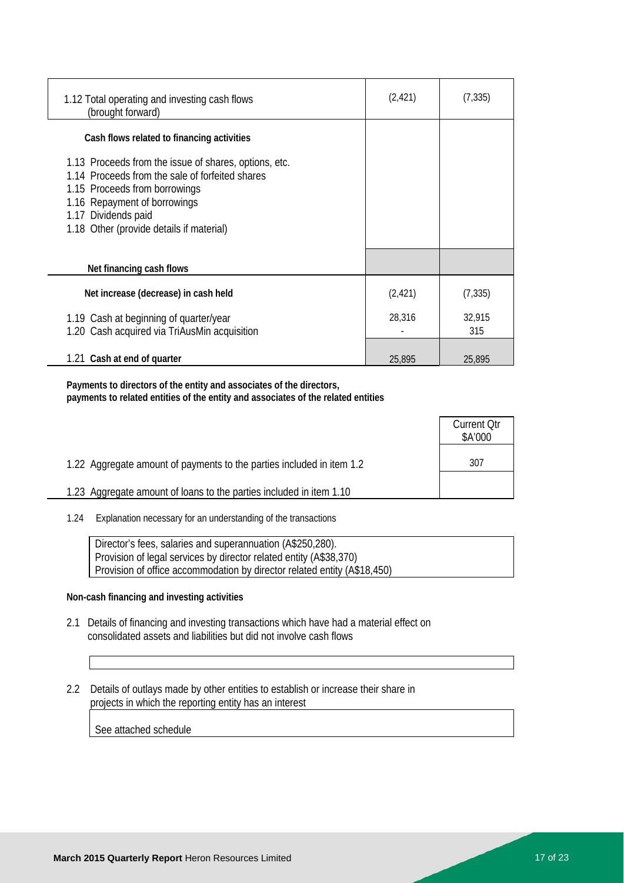| 1.12 Total operating and investing cash flows<br>(brought forward)                                                                                                                                                                           | (2, 421) | (7, 335)      |
|----------------------------------------------------------------------------------------------------------------------------------------------------------------------------------------------------------------------------------------------|----------|---------------|
| Cash flows related to financing activities                                                                                                                                                                                                   |          |               |
| 1.13 Proceeds from the issue of shares, options, etc.<br>1.14 Proceeds from the sale of forfeited shares<br>1.15 Proceeds from borrowings<br>1.16 Repayment of borrowings<br>1.17 Dividends paid<br>1.18 Other (provide details if material) |          |               |
| Net financing cash flows                                                                                                                                                                                                                     |          |               |
| Net increase (decrease) in cash held                                                                                                                                                                                                         | (2, 421) | (7, 335)      |
| 1.19 Cash at beginning of quarter/year<br>1.20 Cash acquired via TriAusMin acquisition                                                                                                                                                       | 28,316   | 32,915<br>315 |
| 1.21 Cash at end of quarter                                                                                                                                                                                                                  | 25,895   | 25,895        |

 **Payments to directors of the entity and associates of the directors, payments to related entities of the entity and associates of the related entities** 

|                                                                       | <b>Current Qtr</b><br>\$A'000 |
|-----------------------------------------------------------------------|-------------------------------|
| 1.22 Aggregate amount of payments to the parties included in item 1.2 | 307                           |
| 1.23 Aggregate amount of loans to the parties included in item 1.10   |                               |

1.24 Explanation necessary for an understanding of the transactions

| Director's fees, salaries and superannuation (A\$250,280).               |
|--------------------------------------------------------------------------|
| Provision of legal services by director related entity (A\$38,370)       |
| Provision of office accommodation by director related entity (A\$18,450) |

#### **Non-cash financing and investing activities**

- 2.1 Details of financing and investing transactions which have had a material effect on consolidated assets and liabilities but did not involve cash flows
- 2.2 Details of outlays made by other entities to establish or increase their share in projects in which the reporting entity has an interest

See attached schedule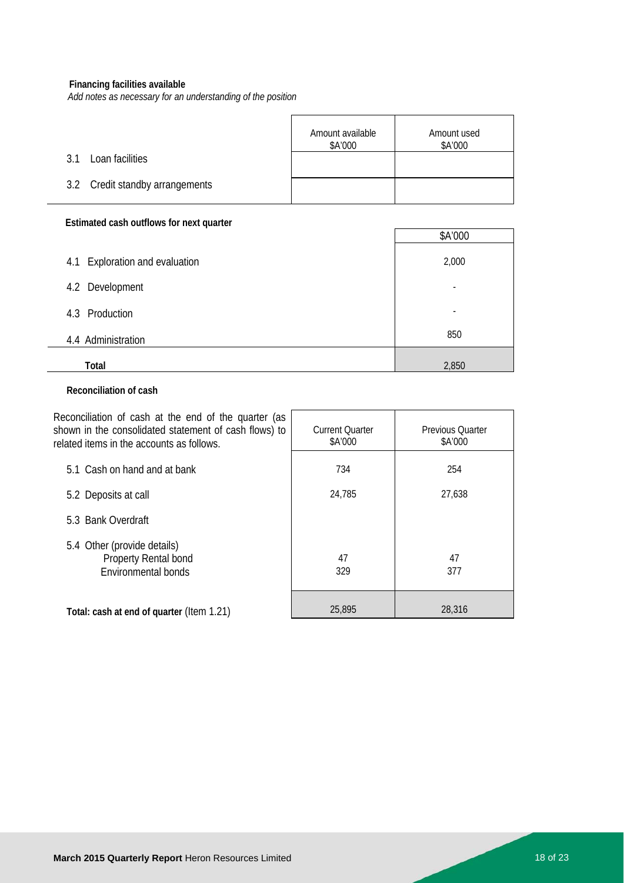#### **Financing facilities available**

*Add notes as necessary for an understanding of the position*

| Loan facilities<br>3 1          | Amount available<br>\$A'000 | Amount used<br>\$A'000 |
|---------------------------------|-----------------------------|------------------------|
|                                 |                             |                        |
| 3.2 Credit standby arrangements |                             |                        |

### **Estimated cash outflows for next quarter**

| Estimated cash outflows for next quarter |         |
|------------------------------------------|---------|
|                                          | \$A'000 |
| Exploration and evaluation<br>4.1        | 2,000   |
| 4.2 Development                          |         |
| 4.3 Production                           |         |
| 4.4 Administration                       | 850     |
| Total                                    | 2,850   |

### **Reconciliation of cash**

| Reconciliation of cash at the end of the quarter (as<br>shown in the consolidated statement of cash flows) to<br>related items in the accounts as follows. | <b>Current Ouarter</b><br>\$A'000 | <b>Previous Ouarter</b><br>\$A'000 |
|------------------------------------------------------------------------------------------------------------------------------------------------------------|-----------------------------------|------------------------------------|
| 5.1 Cash on hand and at bank                                                                                                                               | 734                               | 254                                |
| 5.2 Deposits at call                                                                                                                                       | 24.785                            | 27.638                             |
| 5.3 Bank Overdraft                                                                                                                                         |                                   |                                    |
| 5.4 Other (provide details)<br>Property Rental bond<br>Environmental bonds                                                                                 | 47<br>329                         | 47<br>377                          |
| Total: cash at end of quarter (Item 1.21)                                                                                                                  | 25.895                            | 28,316                             |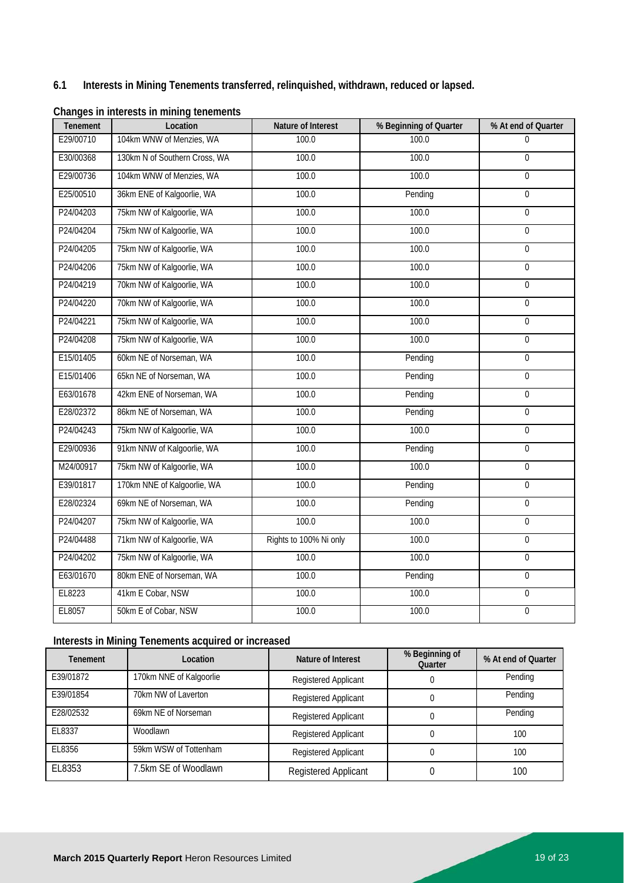### **6.1 Interests in Mining Tenements transferred, relinquished, withdrawn, reduced or lapsed.**

| Tenement  | Location                      | Nature of Interest     | % Beginning of Quarter | % At end of Quarter |
|-----------|-------------------------------|------------------------|------------------------|---------------------|
| E29/00710 | 104km WNW of Menzies, WA      | 100.0                  | 100.0                  | 0                   |
| E30/00368 | 130km N of Southern Cross, WA | 100.0                  | 100.0                  | $\overline{0}$      |
| E29/00736 | 104km WNW of Menzies, WA      | 100.0                  | 100.0                  | $\overline{0}$      |
| E25/00510 | 36km ENE of Kalgoorlie, WA    | 100.0                  | Pending                | 0                   |
| P24/04203 | 75km NW of Kalgoorlie, WA     | 100.0                  | 100.0                  | $\overline{0}$      |
| P24/04204 | 75km NW of Kalgoorlie, WA     | 100.0                  | 100.0                  | $\mathbf 0$         |
| P24/04205 | 75km NW of Kalgoorlie, WA     | 100.0                  | 100.0                  | $\overline{0}$      |
| P24/04206 | 75km NW of Kalgoorlie, WA     | 100.0                  | 100.0                  | $\mathbf 0$         |
| P24/04219 | 70km NW of Kalgoorlie, WA     | 100.0                  | 100.0                  | $\overline{0}$      |
| P24/04220 | 70km NW of Kalgoorlie, WA     | 100.0                  | 100.0                  | $\boldsymbol{0}$    |
| P24/04221 | 75km NW of Kalgoorlie, WA     | 100.0                  | 100.0                  | $\overline{0}$      |
| P24/04208 | 75km NW of Kalgoorlie, WA     | 100.0                  | 100.0                  | $\overline{0}$      |
| E15/01405 | 60km NE of Norseman, WA       | 100.0                  | Pending                | $\mathbf 0$         |
| E15/01406 | 65kn NE of Norseman, WA       | 100.0                  | Pending                | $\mathbf 0$         |
| E63/01678 | 42km ENE of Norseman, WA      | 100.0                  | Pending                | $\overline{0}$      |
| E28/02372 | 86km NE of Norseman, WA       | 100.0                  | Pending                | $\mathbf 0$         |
| P24/04243 | 75km NW of Kalgoorlie, WA     | 100.0                  | 100.0                  | $\mathbf 0$         |
| E29/00936 | 91km NNW of Kalgoorlie, WA    | 100.0                  | Pending                | $\overline{0}$      |
| M24/00917 | 75km NW of Kalgoorlie, WA     | 100.0                  | 100.0                  | $\mathbf 0$         |
| E39/01817 | 170km NNE of Kalgoorlie, WA   | 100.0                  | Pending                | $\overline{0}$      |
| E28/02324 | 69km NE of Norseman, WA       | 100.0                  | Pending                | $\mathbf 0$         |
| P24/04207 | 75km NW of Kalgoorlie, WA     | 100.0                  | 100.0                  | $\overline{0}$      |
| P24/04488 | 71km NW of Kalgoorlie, WA     | Rights to 100% Ni only | 100.0                  | $\mathbf 0$         |
| P24/04202 | 75km NW of Kalgoorlie, WA     | 100.0                  | 100.0                  | $\overline{0}$      |
| E63/01670 | 80km ENE of Norseman, WA      | 100.0                  | Pending                | $\overline{0}$      |
| EL8223    | 41km E Cobar, NSW             | 100.0                  | 100.0                  | $\mathbf 0$         |
| EL8057    | 50km E of Cobar, NSW          | 100.0                  | 100.0                  | $\mathbf 0$         |

### **Changes in interests in mining tenements**

### **Interests in Mining Tenements acquired or increased**

| Tenement  | Location                | Nature of Interest          | % Beginning of<br>Quarter | % At end of Quarter |
|-----------|-------------------------|-----------------------------|---------------------------|---------------------|
| E39/01872 | 170km NNE of Kalgoorlie | Registered Applicant        |                           | Pending             |
| E39/01854 | 70km NW of Laverton     | Registered Applicant        |                           | Pending             |
| E28/02532 | 69km NE of Norseman     | Registered Applicant        |                           | Pending             |
| EL8337    | Woodlawn                | Registered Applicant        |                           | 100                 |
| EL8356    | 59km WSW of Tottenham   | Registered Applicant        |                           | 100                 |
| EL8353    | 7.5km SE of Woodlawn    | <b>Registered Applicant</b> |                           | 100                 |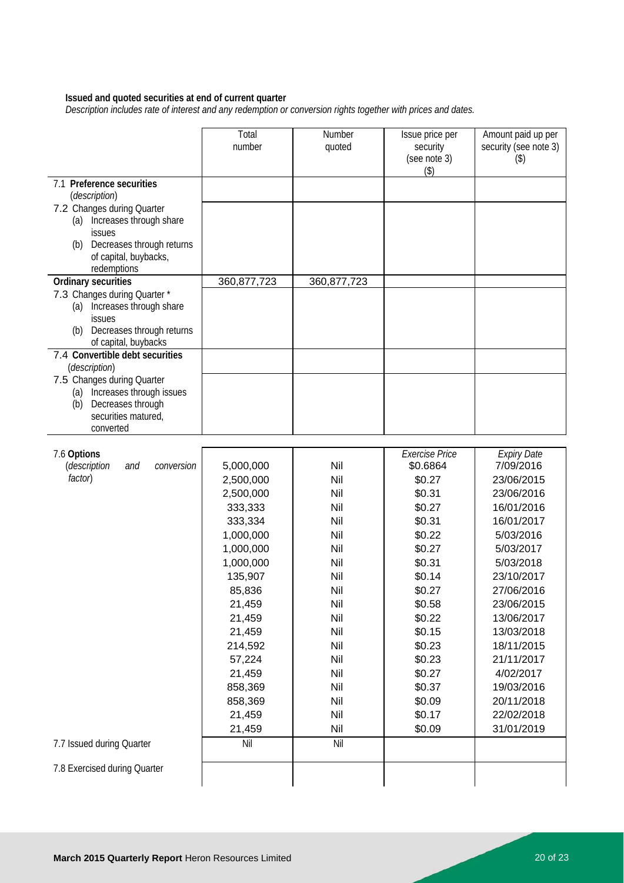#### **Issued and quoted securities at end of current quarter**

 *Description includes rate of interest and any redemption or conversion rights together with prices and dates.* 

|                                                                                                                                                                     | Total<br>number                                                                                                                                                                                          | Number<br>quoted                                                                                                           | Issue price per<br>security<br>(see note 3)<br>$($ \$)                                                                                                                             | Amount paid up per<br>security (see note 3)<br>$($ \$)                                                                                                                                                                                              |
|---------------------------------------------------------------------------------------------------------------------------------------------------------------------|----------------------------------------------------------------------------------------------------------------------------------------------------------------------------------------------------------|----------------------------------------------------------------------------------------------------------------------------|------------------------------------------------------------------------------------------------------------------------------------------------------------------------------------|-----------------------------------------------------------------------------------------------------------------------------------------------------------------------------------------------------------------------------------------------------|
| 7.1 Preference securities                                                                                                                                           |                                                                                                                                                                                                          |                                                                                                                            |                                                                                                                                                                                    |                                                                                                                                                                                                                                                     |
| (description)<br>7.2 Changes during Quarter<br>Increases through share<br>(a)<br>issues<br>Decreases through returns<br>(b)<br>of capital, buybacks,<br>redemptions |                                                                                                                                                                                                          |                                                                                                                            |                                                                                                                                                                                    |                                                                                                                                                                                                                                                     |
| Ordinary securities                                                                                                                                                 | 360,877,723                                                                                                                                                                                              | 360,877,723                                                                                                                |                                                                                                                                                                                    |                                                                                                                                                                                                                                                     |
| 7.3 Changes during Quarter *<br>Increases through share<br>(a)<br>issues<br>Decreases through returns<br>(b)<br>of capital, buybacks                                |                                                                                                                                                                                                          |                                                                                                                            |                                                                                                                                                                                    |                                                                                                                                                                                                                                                     |
| 7.4 Convertible debt securities<br>(description)                                                                                                                    |                                                                                                                                                                                                          |                                                                                                                            |                                                                                                                                                                                    |                                                                                                                                                                                                                                                     |
| 7.5 Changes during Quarter<br>(a) Increases through issues<br>Decreases through<br>(b)<br>securities matured,<br>converted                                          |                                                                                                                                                                                                          |                                                                                                                            |                                                                                                                                                                                    |                                                                                                                                                                                                                                                     |
| 7.6 Options                                                                                                                                                         |                                                                                                                                                                                                          |                                                                                                                            | <b>Exercise Price</b>                                                                                                                                                              | <b>Expiry Date</b>                                                                                                                                                                                                                                  |
| (description<br>and<br>conversion<br>factor)                                                                                                                        | 5,000,000<br>2,500,000<br>2,500,000<br>333,333<br>333,334<br>1,000,000<br>1,000,000<br>1,000,000<br>135,907<br>85,836<br>21,459<br>21,459<br>21,459<br>214,592<br>57,224<br>21,459<br>858,369<br>858,369 | Nil<br>Nil<br>Nil<br>Nil<br>Nil<br>Nil<br>Nil<br>Nil<br>Nil<br>Nil<br>Nil<br>Nil<br>Nil<br>Nil<br>Nil<br>Nil<br>Nil<br>Nil | \$0.6864<br>\$0.27<br>\$0.31<br>\$0.27<br>\$0.31<br>\$0.22<br>\$0.27<br>\$0.31<br>\$0.14<br>\$0.27<br>\$0.58<br>\$0.22<br>\$0.15<br>\$0.23<br>\$0.23<br>\$0.27<br>\$0.37<br>\$0.09 | 7/09/2016<br>23/06/2015<br>23/06/2016<br>16/01/2016<br>16/01/2017<br>5/03/2016<br>5/03/2017<br>5/03/2018<br>23/10/2017<br>27/06/2016<br>23/06/2015<br>13/06/2017<br>13/03/2018<br>18/11/2015<br>21/11/2017<br>4/02/2017<br>19/03/2016<br>20/11/2018 |
|                                                                                                                                                                     | 21,459                                                                                                                                                                                                   | Nil                                                                                                                        | \$0.17                                                                                                                                                                             | 22/02/2018                                                                                                                                                                                                                                          |
|                                                                                                                                                                     | 21,459                                                                                                                                                                                                   | Nil                                                                                                                        | \$0.09                                                                                                                                                                             | 31/01/2019                                                                                                                                                                                                                                          |
| 7.7 Issued during Quarter                                                                                                                                           | Nil                                                                                                                                                                                                      | Nil                                                                                                                        |                                                                                                                                                                                    |                                                                                                                                                                                                                                                     |
| 7.8 Exercised during Quarter                                                                                                                                        |                                                                                                                                                                                                          |                                                                                                                            |                                                                                                                                                                                    |                                                                                                                                                                                                                                                     |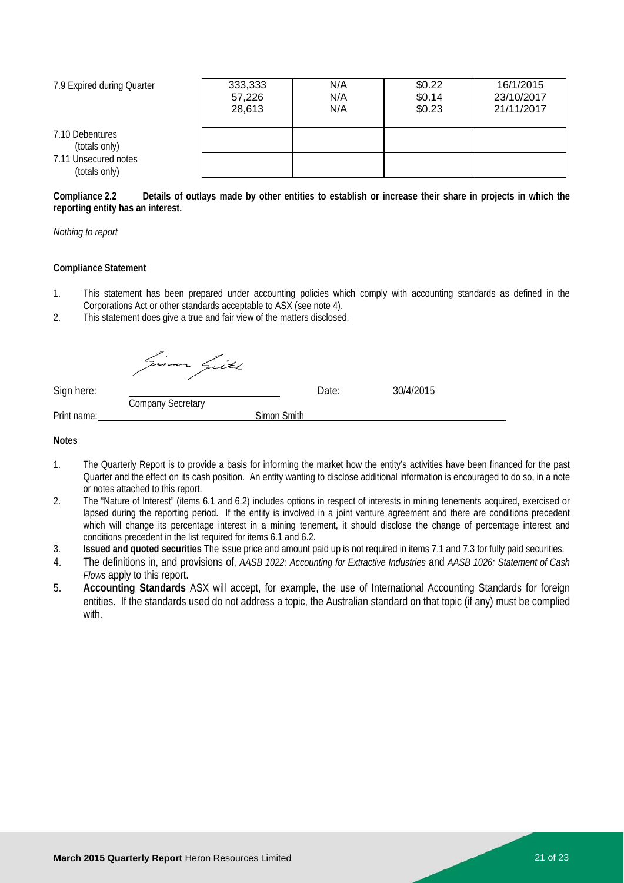| 7.9 Expired during Quarter            | 333,333<br>57,226<br>28,613 | N/A<br>N/A<br>N/A | \$0.22<br>\$0.14<br>\$0.23 | 16/1/2015<br>23/10/2017<br>21/11/2017 |
|---------------------------------------|-----------------------------|-------------------|----------------------------|---------------------------------------|
| 7.10 Debentures<br>(totals only)      |                             |                   |                            |                                       |
| 7.11 Unsecured notes<br>(totals only) |                             |                   |                            |                                       |

**Compliance 2.2 Details of outlays made by other entities to establish or increase their share in projects in which the reporting entity has an interest.** 

*Nothing to report* 

#### **Compliance Statement**

- 1. This statement has been prepared under accounting policies which comply with accounting standards as defined in the Corporations Act or other standards acceptable to ASX (see note 4).
- 2. This statement does give a true and fair view of the matters disclosed.

|             | rite                     |             |       |           |  |
|-------------|--------------------------|-------------|-------|-----------|--|
| Sign here:  |                          |             | Date: | 30/4/2015 |  |
|             | <b>Company Secretary</b> |             |       |           |  |
| Print name: |                          | Simon Smith |       |           |  |

#### **Notes**

- 1. The Quarterly Report is to provide a basis for informing the market how the entity's activities have been financed for the past Quarter and the effect on its cash position. An entity wanting to disclose additional information is encouraged to do so, in a note or notes attached to this report.
- 2. The "Nature of Interest" (items 6.1 and 6.2) includes options in respect of interests in mining tenements acquired, exercised or lapsed during the reporting period. If the entity is involved in a joint venture agreement and there are conditions precedent which will change its percentage interest in a mining tenement, it should disclose the change of percentage interest and conditions precedent in the list required for items 6.1 and 6.2.
- 3. **Issued and quoted securities** The issue price and amount paid up is not required in items 7.1 and 7.3 for fully paid securities.
- 4. The definitions in, and provisions of, *AASB 1022: Accounting for Extractive Industries* and *AASB 1026: Statement of Cash Flows* apply to this report.
- 5. **Accounting Standards** ASX will accept, for example, the use of International Accounting Standards for foreign entities. If the standards used do not address a topic, the Australian standard on that topic (if any) must be complied with.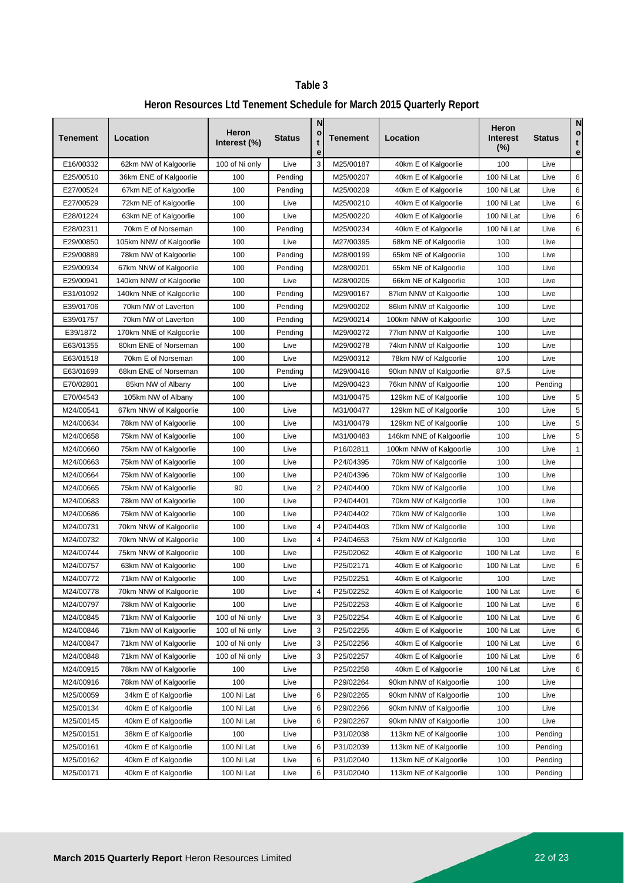| anie |  |
|------|--|
|      |  |

# **Heron Resources Ltd Tenement Schedule for March 2015 Quarterly Report**

| Tenement  | Location                | <b>Heron</b><br>Interest (%) | <b>Status</b> | N<br>O<br>e    | <b>Tenement</b> | Location                | Heron<br><b>Interest</b><br>(%) | <b>Status</b> | N<br>$\mathbf{o}$<br>t<br>е |
|-----------|-------------------------|------------------------------|---------------|----------------|-----------------|-------------------------|---------------------------------|---------------|-----------------------------|
| E16/00332 | 62km NW of Kalgoorlie   | 100 of Ni only               | Live          | 3              | M25/00187       | 40km E of Kalgoorlie    | 100                             | Live          |                             |
| E25/00510 | 36km ENE of Kalgoorlie  | 100                          | Pending       |                | M25/00207       | 40km E of Kalgoorlie    | 100 Ni Lat                      | Live          | 6                           |
| E27/00524 | 67km NE of Kalgoorlie   | 100                          | Pending       |                | M25/00209       | 40km E of Kalgoorlie    | 100 Ni Lat                      | Live          | 6                           |
| E27/00529 | 72km NE of Kalgoorlie   | 100                          | Live          |                | M25/00210       | 40km E of Kalgoorlie    | 100 Ni Lat                      | Live          | 6                           |
| E28/01224 | 63km NE of Kalgoorlie   | 100                          | Live          |                | M25/00220       | 40km E of Kalgoorlie    | 100 Ni Lat                      | Live          | 6                           |
| E28/02311 | 70km E of Norseman      | 100                          | Pending       |                | M25/00234       | 40km E of Kalgoorlie    | 100 Ni Lat                      | Live          | 6                           |
| E29/00850 | 105km NNW of Kalgoorlie | 100                          | Live          |                | M27/00395       | 68km NE of Kalgoorlie   | 100                             | Live          |                             |
| E29/00889 | 78km NW of Kalgoorlie   | 100                          | Pending       |                | M28/00199       | 65km NE of Kalgoorlie   | 100                             | Live          |                             |
| E29/00934 | 67km NNW of Kalgoorlie  | 100                          | Pending       |                | M28/00201       | 65km NE of Kalgoorlie   | 100                             | Live          |                             |
| E29/00941 | 140km NNW of Kalgoorlie | 100                          | Live          |                | M28/00205       | 66km NE of Kalgoorlie   | 100                             | Live          |                             |
| E31/01092 | 140km NNE of Kalgoorlie | 100                          | Pending       |                | M29/00167       | 87km NNW of Kalgoorlie  | 100                             | Live          |                             |
| E39/01706 | 70km NW of Laverton     | 100                          | Pending       |                | M29/00202       | 86km NNW of Kalgoorlie  | 100                             | Live          |                             |
| E39/01757 | 70km NW of Laverton     | 100                          | Pending       |                | M29/00214       | 100km NNW of Kalgoorlie | 100                             | Live          |                             |
| E39/1872  | 170km NNE of Kalgoorlie | 100                          | Pending       |                | M29/00272       | 77km NNW of Kalgoorlie  | 100                             | Live          |                             |
| E63/01355 | 80km ENE of Norseman    | 100                          | Live          |                | M29/00278       | 74km NNW of Kalgoorlie  | 100                             | Live          |                             |
| E63/01518 | 70km E of Norseman      | 100                          | Live          |                | M29/00312       | 78km NW of Kalgoorlie   | 100                             | Live          |                             |
| E63/01699 | 68km ENE of Norseman    | 100                          | Pending       |                | M29/00416       | 90km NNW of Kalgoorlie  | 87.5                            | Live          |                             |
| E70/02801 | 85km NW of Albany       | 100                          | Live          |                | M29/00423       | 76km NNW of Kalgoorlie  | 100                             | Pending       |                             |
| E70/04543 | 105km NW of Albany      | 100                          |               |                | M31/00475       | 129km NE of Kalgoorlie  | 100                             | Live          | 5                           |
| M24/00541 | 67km NNW of Kalgoorlie  | 100                          | Live          |                | M31/00477       | 129km NE of Kalgoorlie  | 100                             | Live          | $\sqrt{5}$                  |
| M24/00634 | 78km NW of Kalgoorlie   | 100                          | Live          |                | M31/00479       | 129km NE of Kalgoorlie  | 100                             | Live          | $\sqrt{5}$                  |
| M24/00658 | 75km NW of Kalgoorlie   | 100                          | Live          |                | M31/00483       | 146km NNE of Kalgoorlie | 100                             | Live          | 5                           |
| M24/00660 | 75km NW of Kalgoorlie   | 100                          | Live          |                | P16/02811       | 100km NNW of Kalgoorlie | 100                             | Live          | $\mathbf{1}$                |
| M24/00663 | 75km NW of Kalgoorlie   | 100                          | Live          |                | P24/04395       | 70km NW of Kalgoorlie   | 100                             | Live          |                             |
| M24/00664 | 75km NW of Kalgoorlie   | 100                          | Live          |                | P24/04396       | 70km NW of Kalgoorlie   | 100                             | Live          |                             |
| M24/00665 | 75km NW of Kalgoorlie   | 90                           | Live          | 2              | P24/04400       | 70km NW of Kalgoorlie   | 100                             | Live          |                             |
| M24/00683 | 78km NW of Kalgoorlie   | 100                          | Live          |                | P24/04401       | 70km NW of Kalgoorlie   | 100                             | Live          |                             |
| M24/00686 | 75km NW of Kalgoorlie   | 100                          | Live          |                | P24/04402       | 70km NW of Kalgoorlie   | 100                             | Live          |                             |
| M24/00731 | 70km NNW of Kalgoorlie  | 100                          | Live          | $\overline{4}$ | P24/04403       | 70km NW of Kalgoorlie   | 100                             | Live          |                             |
| M24/00732 | 70km NNW of Kalgoorlie  | 100                          | Live          | 4              | P24/04653       | 75km NW of Kalgoorlie   | 100                             | Live          |                             |
| M24/00744 | 75km NNW of Kalgoorlie  | 100                          | Live          |                | P25/02062       | 40km E of Kalgoorlie    | 100 Ni Lat                      | Live          | 6                           |
| M24/00757 | 63km NW of Kalgoorlie   | 100                          | Live          |                | P25/02171       | 40km E of Kalgoorlie    | 100 Ni Lat                      | Live          | 6                           |
| M24/00772 | 71km NW of Kalgoorlie   | 100                          | Live          |                | P25/02251       | 40km E of Kalgoorlie    | 100                             | Live          |                             |
| M24/00778 | 70km NNW of Kalgoorlie  | 100                          | Live          | $\overline{4}$ | P25/02252       | 40km E of Kalgoorlie    | 100 Ni Lat                      | Live          | 6                           |
| M24/00797 | 78km NW of Kalgoorlie   | 100                          | Live          |                | P25/02253       | 40km E of Kalgoorlie    | 100 Ni Lat                      | Live          | 6                           |
| M24/00845 | 71km NW of Kalgoorlie   | 100 of Ni only               | Live          | 3              | P25/02254       | 40km E of Kalgoorlie    | 100 Ni Lat                      | Live          | 6                           |
| M24/00846 | 71km NW of Kalgoorlie   | 100 of Ni only               | Live          | 3              | P25/02255       | 40km E of Kalgoorlie    | 100 Ni Lat                      | Live          | 6                           |
| M24/00847 | 71km NW of Kalgoorlie   | 100 of Ni only               | Live          | 3              | P25/02256       | 40km E of Kalgoorlie    | 100 Ni Lat                      | Live          | 6                           |
| M24/00848 | 71km NW of Kalgoorlie   | 100 of Ni only               | Live          | 3              | P25/02257       | 40km E of Kalgoorlie    | 100 Ni Lat                      | Live          | 6                           |
| M24/00915 | 78km NW of Kalgoorlie   | 100                          | Live          |                | P25/02258       | 40km E of Kalgoorlie    | 100 Ni Lat                      | Live          | 6                           |
| M24/00916 | 78km NW of Kalgoorlie   | 100                          | Live          |                | P29/02264       | 90km NNW of Kalgoorlie  | 100                             | Live          |                             |
| M25/00059 | 34km E of Kalgoorlie    | 100 Ni Lat                   | Live          | 6              | P29/02265       | 90km NNW of Kalgoorlie  | 100                             | Live          |                             |
| M25/00134 | 40km E of Kalgoorlie    | 100 Ni Lat                   | Live          | 6              | P29/02266       | 90km NNW of Kalgoorlie  | 100                             | Live          |                             |
| M25/00145 | 40km E of Kalgoorlie    | 100 Ni Lat                   | Live          | 6              | P29/02267       | 90km NNW of Kalgoorlie  | 100                             | Live          |                             |
| M25/00151 | 38km E of Kalgoorlie    | 100                          | Live          |                | P31/02038       | 113km NE of Kalgoorlie  | 100                             | Pending       |                             |
| M25/00161 | 40km E of Kalgoorlie    | 100 Ni Lat                   | Live          | 6              | P31/02039       | 113km NE of Kalgoorlie  | 100                             | Pending       |                             |
| M25/00162 | 40km E of Kalgoorlie    | 100 Ni Lat                   | Live          | 6              | P31/02040       | 113km NE of Kalgoorlie  | 100                             | Pending       |                             |
| M25/00171 | 40km E of Kalgoorlie    | 100 Ni Lat                   | Live          | 6              | P31/02040       | 113km NE of Kalgoorlie  | 100                             | Pending       |                             |